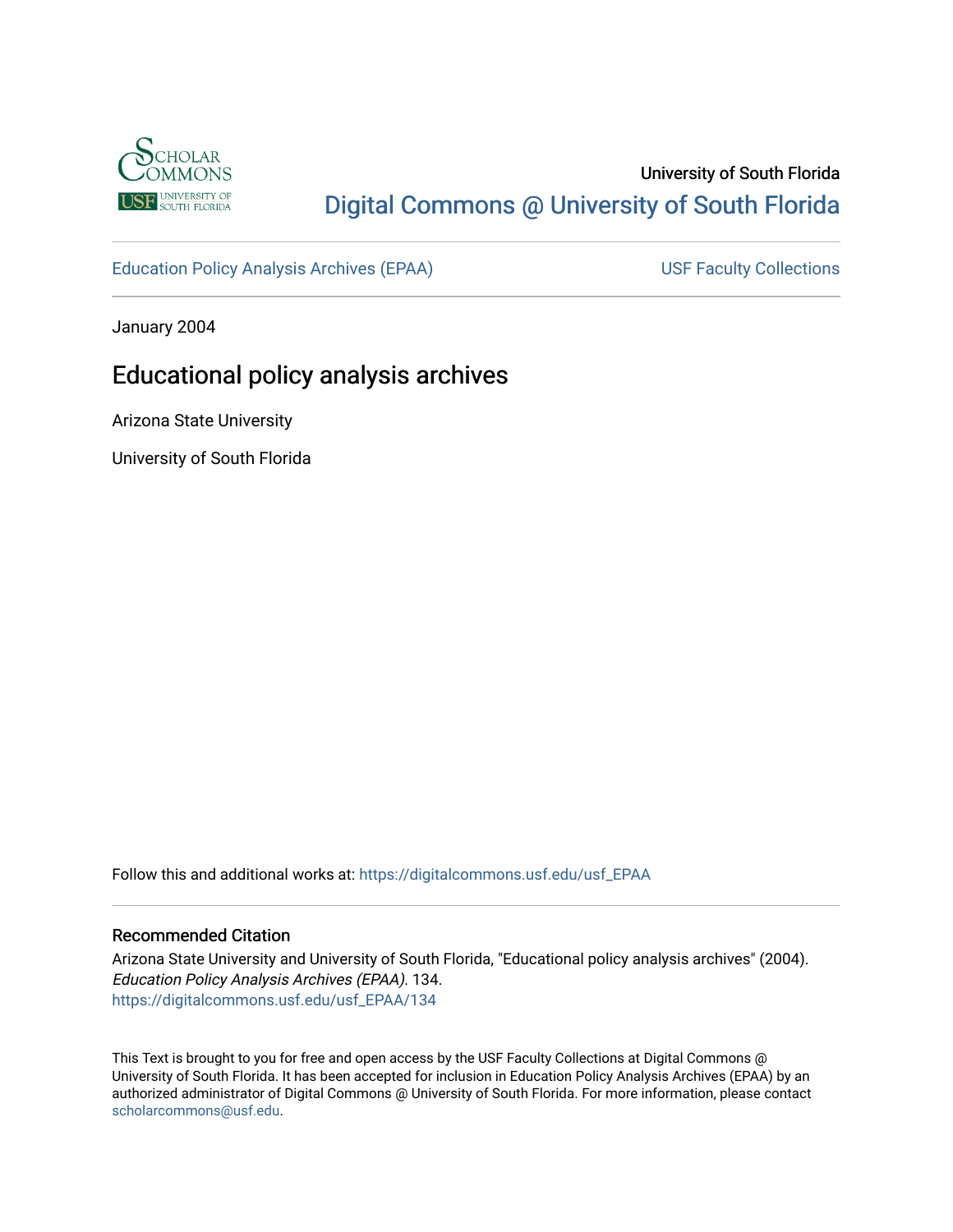

# University of South Florida [Digital Commons @ University of South Florida](https://digitalcommons.usf.edu/)

[Education Policy Analysis Archives \(EPAA\)](https://digitalcommons.usf.edu/usf_EPAA) USF Faculty Collections

January 2004

# Educational policy analysis archives

Arizona State University

University of South Florida

Follow this and additional works at: [https://digitalcommons.usf.edu/usf\\_EPAA](https://digitalcommons.usf.edu/usf_EPAA?utm_source=digitalcommons.usf.edu%2Fusf_EPAA%2F134&utm_medium=PDF&utm_campaign=PDFCoverPages)

#### Recommended Citation

Arizona State University and University of South Florida, "Educational policy analysis archives" (2004). Education Policy Analysis Archives (EPAA). 134. [https://digitalcommons.usf.edu/usf\\_EPAA/134](https://digitalcommons.usf.edu/usf_EPAA/134?utm_source=digitalcommons.usf.edu%2Fusf_EPAA%2F134&utm_medium=PDF&utm_campaign=PDFCoverPages)

This Text is brought to you for free and open access by the USF Faculty Collections at Digital Commons @ University of South Florida. It has been accepted for inclusion in Education Policy Analysis Archives (EPAA) by an authorized administrator of Digital Commons @ University of South Florida. For more information, please contact [scholarcommons@usf.edu.](mailto:scholarcommons@usf.edu)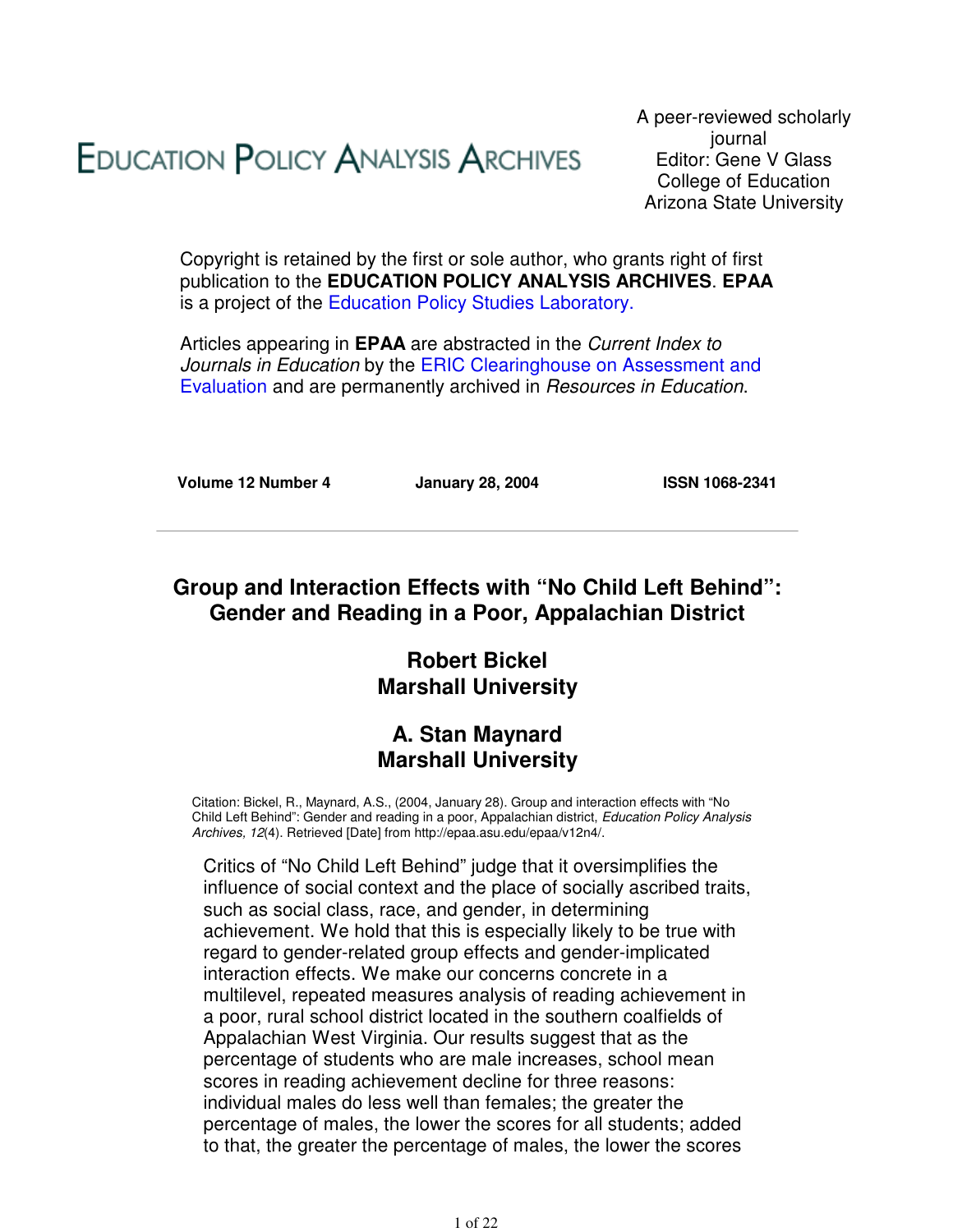# **EDUCATION POLICY ANALYSIS ARCHIVES**

A peer-reviewed scholarly journal Editor: Gene V Glass College of Education Arizona State University

Copyright is retained by the first or sole author, who grants right of first publication to the **EDUCATION POLICY ANALYSIS ARCHIVES**. **EPAA** is a project of the Education Policy Studies Laboratory.

Articles appearing in **EPAA** are abstracted in the Current Index to Journals in Education by the ERIC Clearinghouse on Assessment and Evaluation and are permanently archived in Resources in Education.

**Volume 12 Number 4 January 28, 2004 ISSN 1068-2341**

### **Group and Interaction Effects with "No Child Left Behind": Gender and Reading in a Poor, Appalachian District**

# **Robert Bickel Marshall University**

### **A. Stan Maynard Marshall University**

Citation: Bickel, R., Maynard, A.S., (2004, January 28). Group and interaction effects with "No Child Left Behind": Gender and reading in a poor, Appalachian district, Education Policy Analysis Archives, 12(4). Retrieved [Date] from http://epaa.asu.edu/epaa/v12n4/.

Critics of "No Child Left Behind" judge that it oversimplifies the influence of social context and the place of socially ascribed traits, such as social class, race, and gender, in determining achievement. We hold that this is especially likely to be true with regard to gender-related group effects and gender-implicated interaction effects. We make our concerns concrete in a multilevel, repeated measures analysis of reading achievement in a poor, rural school district located in the southern coalfields of Appalachian West Virginia. Our results suggest that as the percentage of students who are male increases, school mean scores in reading achievement decline for three reasons: individual males do less well than females; the greater the percentage of males, the lower the scores for all students; added to that, the greater the percentage of males, the lower the scores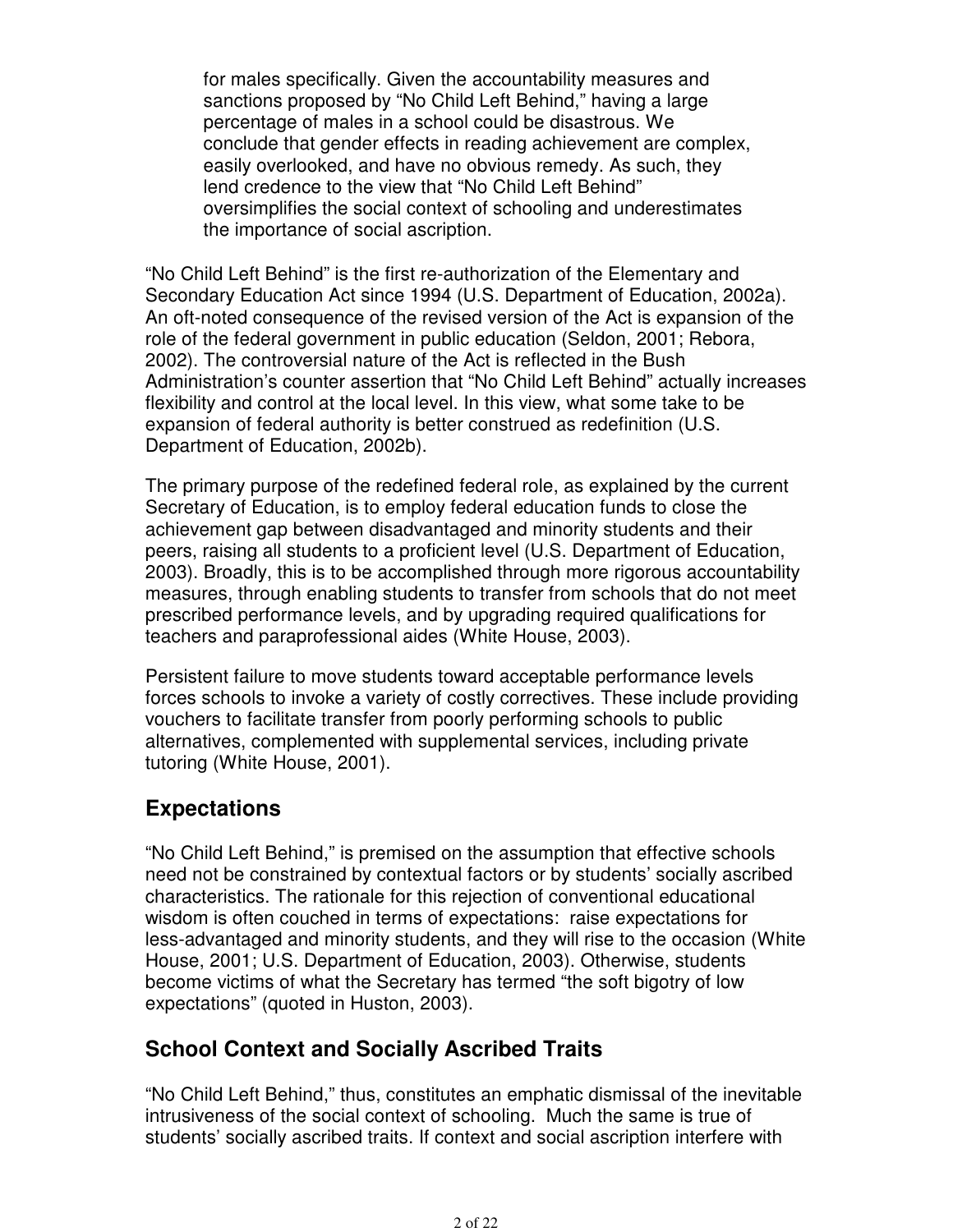for males specifically. Given the accountability measures and sanctions proposed by "No Child Left Behind," having a large percentage of males in a school could be disastrous. We conclude that gender effects in reading achievement are complex, easily overlooked, and have no obvious remedy. As such, they lend credence to the view that "No Child Left Behind" oversimplifies the social context of schooling and underestimates the importance of social ascription.

"No Child Left Behind" is the first re-authorization of the Elementary and Secondary Education Act since 1994 (U.S. Department of Education, 2002a). An oft-noted consequence of the revised version of the Act is expansion of the role of the federal government in public education (Seldon, 2001; Rebora, 2002). The controversial nature of the Act is reflected in the Bush Administration's counter assertion that "No Child Left Behind" actually increases flexibility and control at the local level. In this view, what some take to be expansion of federal authority is better construed as redefinition (U.S. Department of Education, 2002b).

The primary purpose of the redefined federal role, as explained by the current Secretary of Education, is to employ federal education funds to close the achievement gap between disadvantaged and minority students and their peers, raising all students to a proficient level (U.S. Department of Education, 2003). Broadly, this is to be accomplished through more rigorous accountability measures, through enabling students to transfer from schools that do not meet prescribed performance levels, and by upgrading required qualifications for teachers and paraprofessional aides (White House, 2003).

Persistent failure to move students toward acceptable performance levels forces schools to invoke a variety of costly correctives. These include providing vouchers to facilitate transfer from poorly performing schools to public alternatives, complemented with supplemental services, including private tutoring (White House, 2001).

# **Expectations**

"No Child Left Behind," is premised on the assumption that effective schools need not be constrained by contextual factors or by students' socially ascribed characteristics. The rationale for this rejection of conventional educational wisdom is often couched in terms of expectations: raise expectations for less-advantaged and minority students, and they will rise to the occasion (White House, 2001; U.S. Department of Education, 2003). Otherwise, students become victims of what the Secretary has termed "the soft bigotry of low expectations" (quoted in Huston, 2003).

### **School Context and Socially Ascribed Traits**

"No Child Left Behind," thus, constitutes an emphatic dismissal of the inevitable intrusiveness of the social context of schooling. Much the same is true of students' socially ascribed traits. If context and social ascription interfere with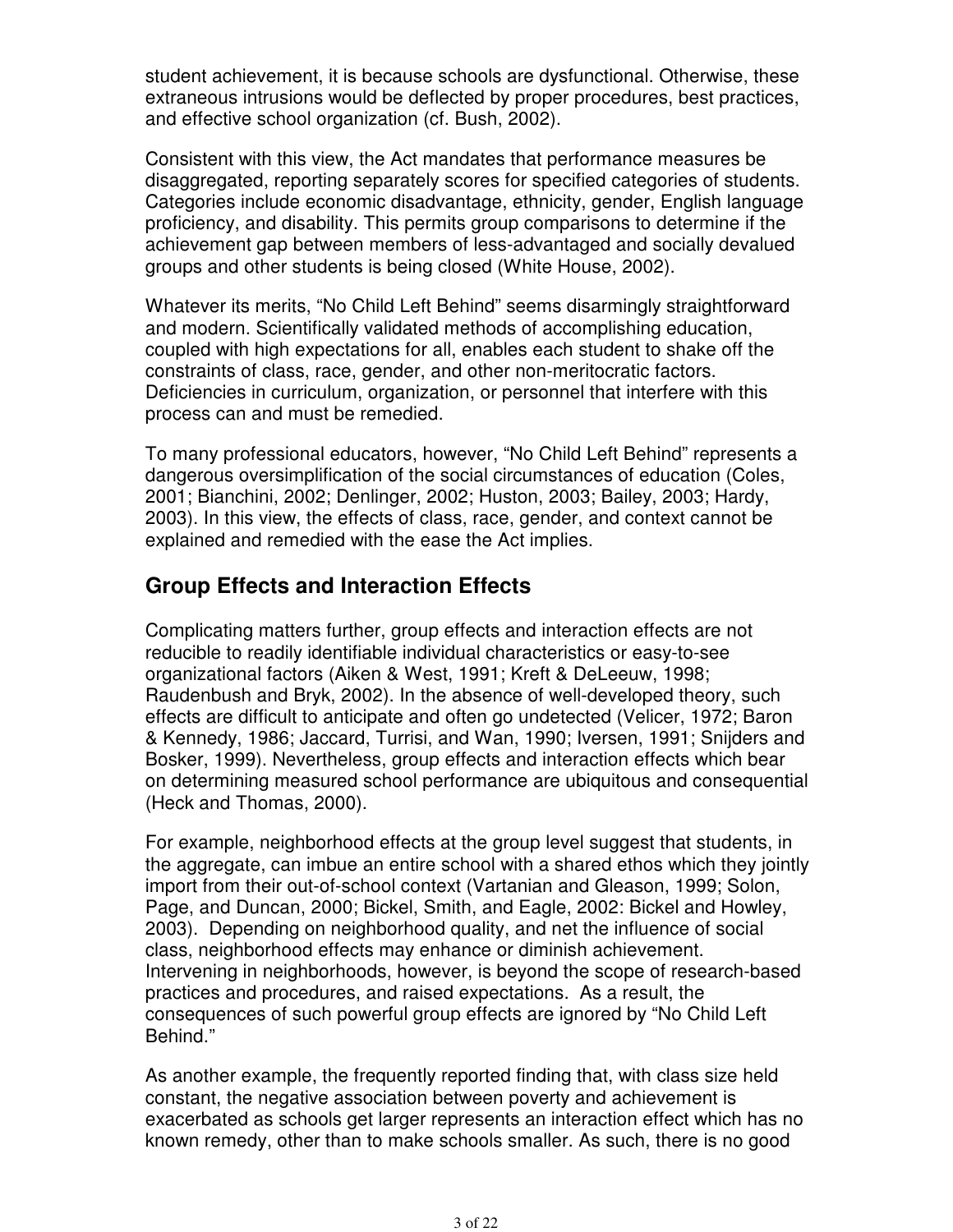student achievement, it is because schools are dysfunctional. Otherwise, these extraneous intrusions would be deflected by proper procedures, best practices, and effective school organization (cf. Bush, 2002).

Consistent with this view, the Act mandates that performance measures be disaggregated, reporting separately scores for specified categories of students. Categories include economic disadvantage, ethnicity, gender, English language proficiency, and disability. This permits group comparisons to determine if the achievement gap between members of less-advantaged and socially devalued groups and other students is being closed (White House, 2002).

Whatever its merits, "No Child Left Behind" seems disarmingly straightforward and modern. Scientifically validated methods of accomplishing education, coupled with high expectations for all, enables each student to shake off the constraints of class, race, gender, and other non-meritocratic factors. Deficiencies in curriculum, organization, or personnel that interfere with this process can and must be remedied.

To many professional educators, however, "No Child Left Behind" represents a dangerous oversimplification of the social circumstances of education (Coles, 2001; Bianchini, 2002; Denlinger, 2002; Huston, 2003; Bailey, 2003; Hardy, 2003). In this view, the effects of class, race, gender, and context cannot be explained and remedied with the ease the Act implies.

### **Group Effects and Interaction Effects**

Complicating matters further, group effects and interaction effects are not reducible to readily identifiable individual characteristics or easy-to-see organizational factors (Aiken & West, 1991; Kreft & DeLeeuw, 1998; Raudenbush and Bryk, 2002). In the absence of well-developed theory, such effects are difficult to anticipate and often go undetected (Velicer, 1972; Baron & Kennedy, 1986; Jaccard, Turrisi, and Wan, 1990; Iversen, 1991; Snijders and Bosker, 1999). Nevertheless, group effects and interaction effects which bear on determining measured school performance are ubiquitous and consequential (Heck and Thomas, 2000).

For example, neighborhood effects at the group level suggest that students, in the aggregate, can imbue an entire school with a shared ethos which they jointly import from their out-of-school context (Vartanian and Gleason, 1999; Solon, Page, and Duncan, 2000; Bickel, Smith, and Eagle, 2002: Bickel and Howley, 2003). Depending on neighborhood quality, and net the influence of social class, neighborhood effects may enhance or diminish achievement. Intervening in neighborhoods, however, is beyond the scope of research-based practices and procedures, and raised expectations. As a result, the consequences of such powerful group effects are ignored by "No Child Left Behind."

As another example, the frequently reported finding that, with class size held constant, the negative association between poverty and achievement is exacerbated as schools get larger represents an interaction effect which has no known remedy, other than to make schools smaller. As such, there is no good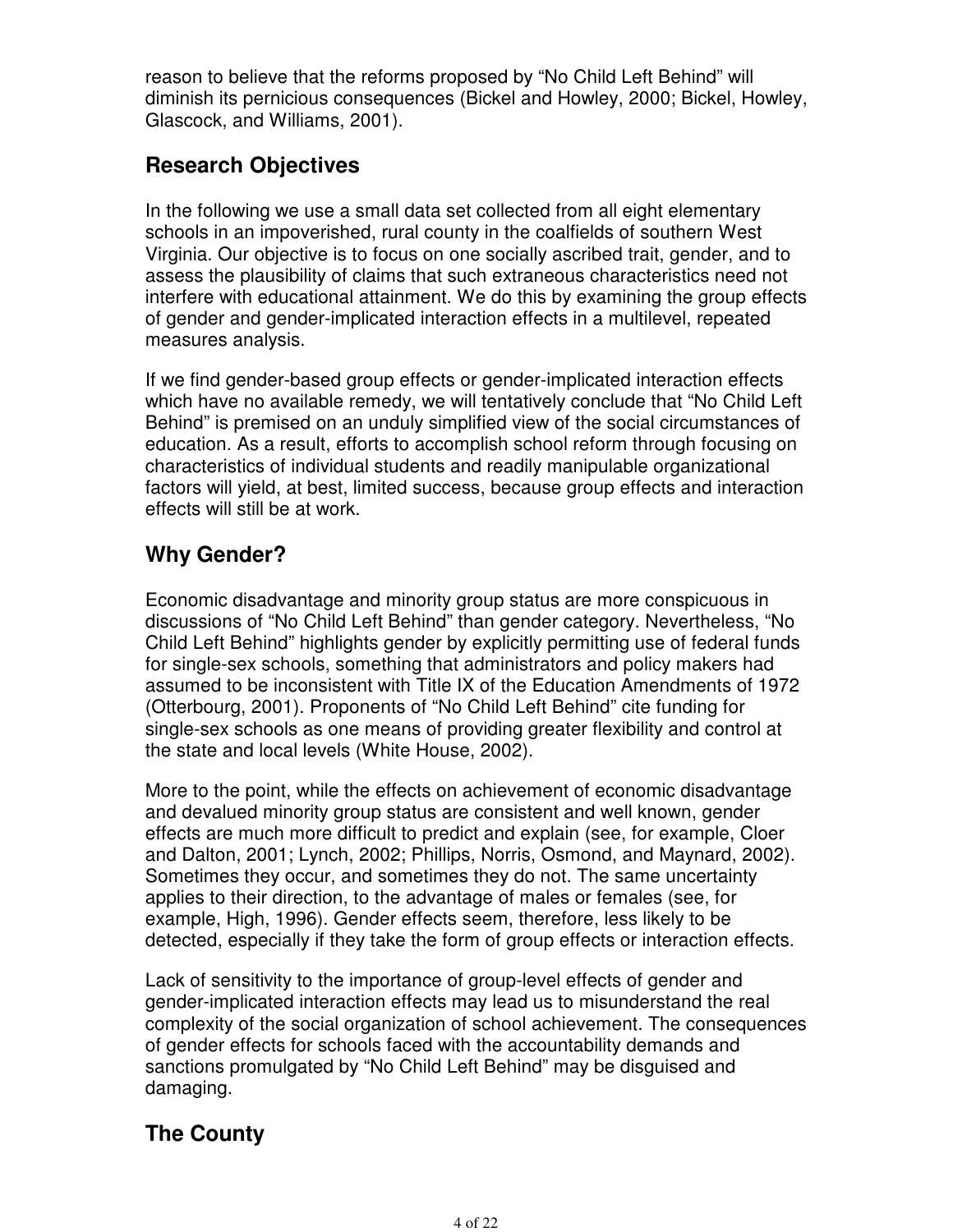reason to believe that the reforms proposed by "No Child Left Behind" will diminish its pernicious consequences (Bickel and Howley, 2000; Bickel, Howley, Glascock, and Williams, 2001).

# **Research Objectives**

In the following we use a small data set collected from all eight elementary schools in an impoverished, rural county in the coalfields of southern West Virginia. Our objective is to focus on one socially ascribed trait, gender, and to assess the plausibility of claims that such extraneous characteristics need not interfere with educational attainment. We do this by examining the group effects of gender and gender-implicated interaction effects in a multilevel, repeated measures analysis.

If we find gender-based group effects or gender-implicated interaction effects which have no available remedy, we will tentatively conclude that "No Child Left Behind" is premised on an unduly simplified view of the social circumstances of education. As a result, efforts to accomplish school reform through focusing on characteristics of individual students and readily manipulable organizational factors will yield, at best, limited success, because group effects and interaction effects will still be at work.

# **Why Gender?**

Economic disadvantage and minority group status are more conspicuous in discussions of "No Child Left Behind" than gender category. Nevertheless, "No Child Left Behind" highlights gender by explicitly permitting use of federal funds for single-sex schools, something that administrators and policy makers had assumed to be inconsistent with Title IX of the Education Amendments of 1972 (Otterbourg, 2001). Proponents of "No Child Left Behind" cite funding for single-sex schools as one means of providing greater flexibility and control at the state and local levels (White House, 2002).

More to the point, while the effects on achievement of economic disadvantage and devalued minority group status are consistent and well known, gender effects are much more difficult to predict and explain (see, for example, Cloer and Dalton, 2001; Lynch, 2002; Phillips, Norris, Osmond, and Maynard, 2002). Sometimes they occur, and sometimes they do not. The same uncertainty applies to their direction, to the advantage of males or females (see, for example, High, 1996). Gender effects seem, therefore, less likely to be detected, especially if they take the form of group effects or interaction effects.

Lack of sensitivity to the importance of group-level effects of gender and gender-implicated interaction effects may lead us to misunderstand the real complexity of the social organization of school achievement. The consequences of gender effects for schools faced with the accountability demands and sanctions promulgated by "No Child Left Behind" may be disguised and damaging.

# **The County**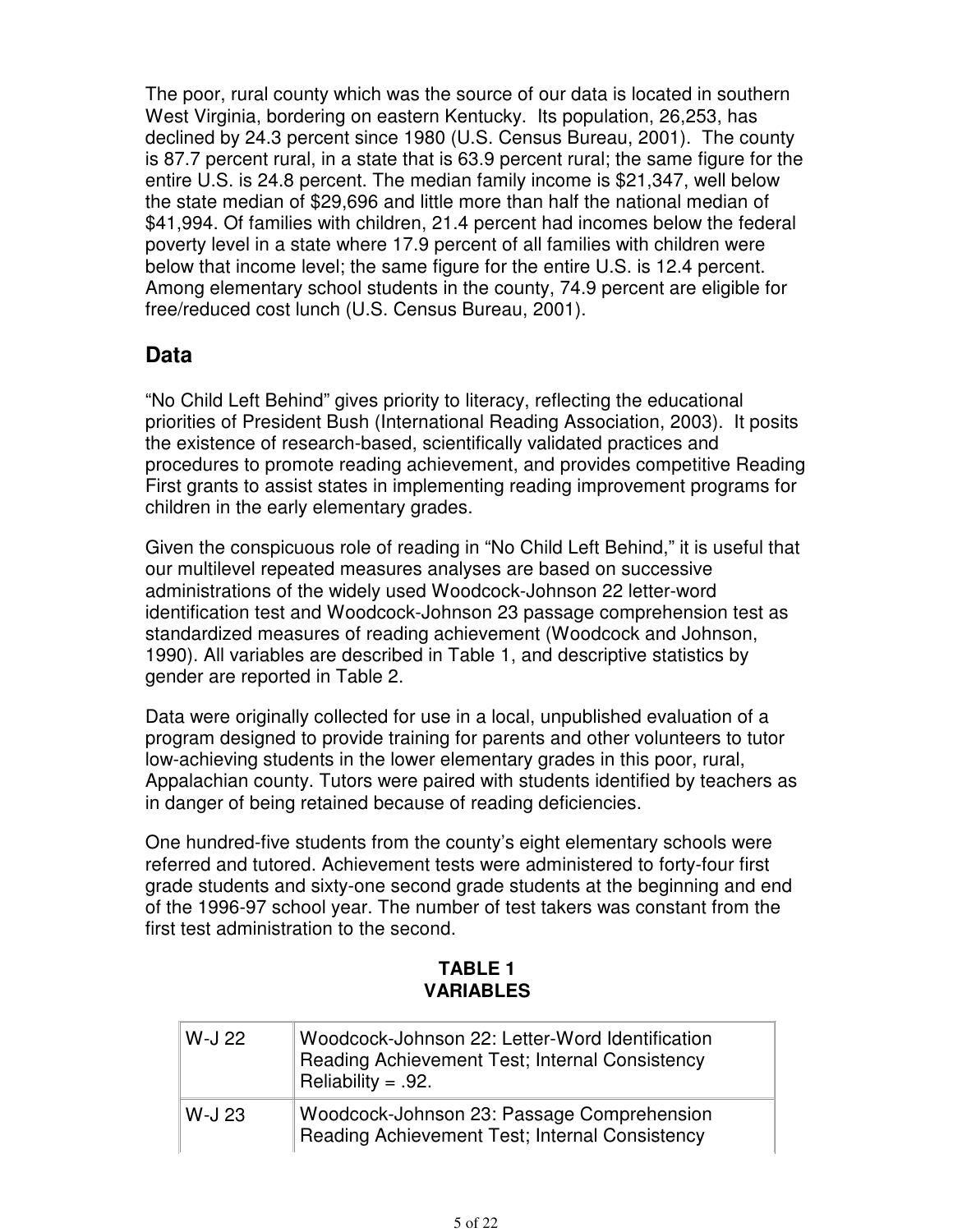The poor, rural county which was the source of our data is located in southern West Virginia, bordering on eastern Kentucky. Its population, 26,253, has declined by 24.3 percent since 1980 (U.S. Census Bureau, 2001). The county is 87.7 percent rural, in a state that is 63.9 percent rural; the same figure for the entire U.S. is 24.8 percent. The median family income is \$21,347, well below the state median of \$29,696 and little more than half the national median of \$41,994. Of families with children, 21.4 percent had incomes below the federal poverty level in a state where 17.9 percent of all families with children were below that income level; the same figure for the entire U.S. is 12.4 percent. Among elementary school students in the county, 74.9 percent are eligible for free/reduced cost lunch (U.S. Census Bureau, 2001).

### **Data**

"No Child Left Behind" gives priority to literacy, reflecting the educational priorities of President Bush (International Reading Association, 2003). It posits the existence of research-based, scientifically validated practices and procedures to promote reading achievement, and provides competitive Reading First grants to assist states in implementing reading improvement programs for children in the early elementary grades.

Given the conspicuous role of reading in "No Child Left Behind," it is useful that our multilevel repeated measures analyses are based on successive administrations of the widely used Woodcock-Johnson 22 letter-word identification test and Woodcock-Johnson 23 passage comprehension test as standardized measures of reading achievement (Woodcock and Johnson, 1990). All variables are described in Table 1, and descriptive statistics by gender are reported in Table 2.

Data were originally collected for use in a local, unpublished evaluation of a program designed to provide training for parents and other volunteers to tutor low-achieving students in the lower elementary grades in this poor, rural, Appalachian county. Tutors were paired with students identified by teachers as in danger of being retained because of reading deficiencies.

One hundred-five students from the county's eight elementary schools were referred and tutored. Achievement tests were administered to forty-four first grade students and sixty-one second grade students at the beginning and end of the 1996-97 school year. The number of test takers was constant from the first test administration to the second.

#### **TABLE 1 VARIABLES**

| W-J 22 | Woodcock-Johnson 22: Letter-Word Identification<br>Reading Achievement Test; Internal Consistency<br>Reliability = $.92$ . |
|--------|----------------------------------------------------------------------------------------------------------------------------|
| W-J 23 | Woodcock-Johnson 23: Passage Comprehension<br>Reading Achievement Test; Internal Consistency                               |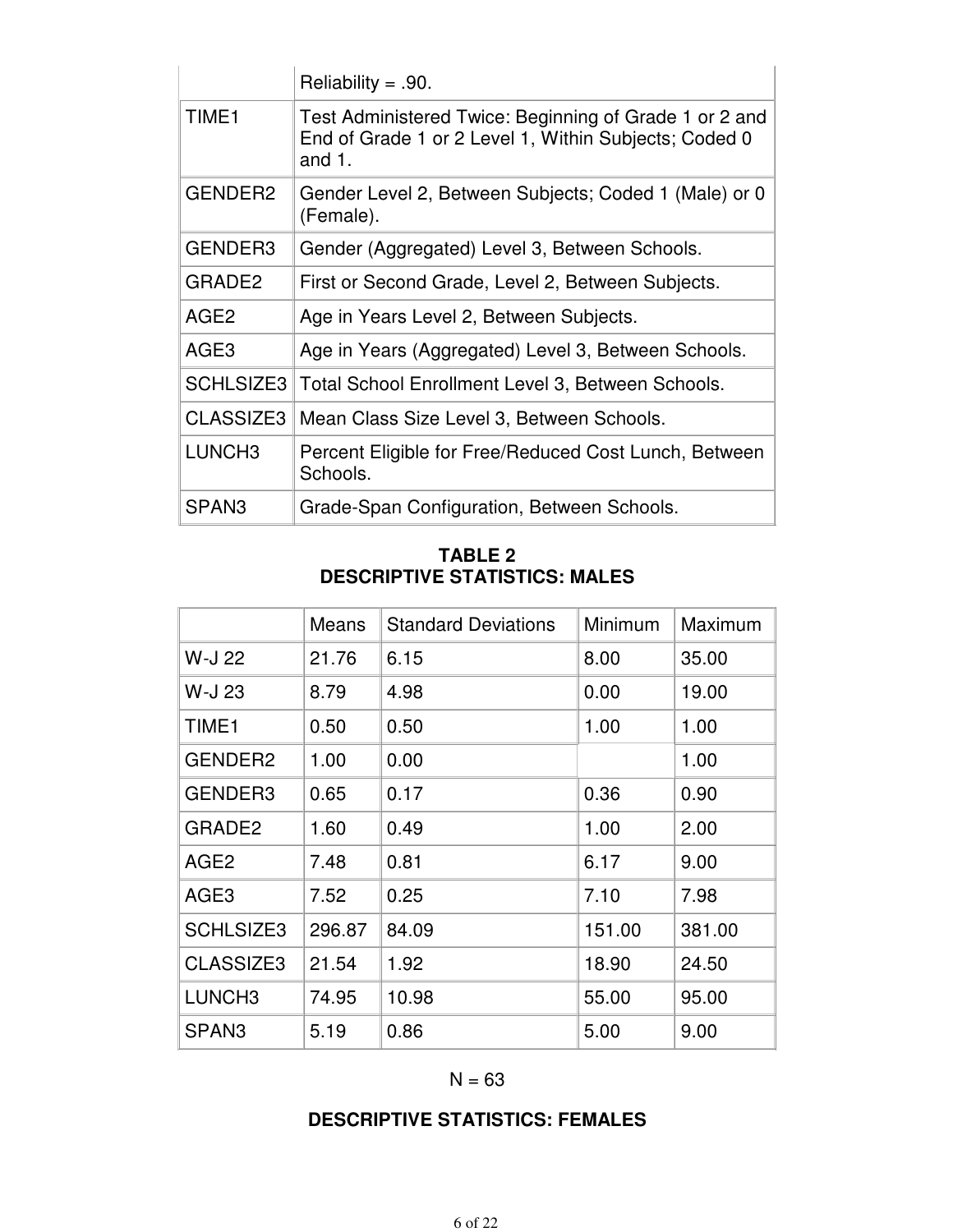|                     | Reliability = .90.                                                                                                           |
|---------------------|------------------------------------------------------------------------------------------------------------------------------|
| TIME <sub>1</sub>   | Test Administered Twice: Beginning of Grade 1 or 2 and<br>End of Grade 1 or 2 Level 1, Within Subjects; Coded 0<br>and $1$ . |
| GENDER <sub>2</sub> | Gender Level 2, Between Subjects; Coded 1 (Male) or 0<br>(Female).                                                           |
| GENDER3             | Gender (Aggregated) Level 3, Between Schools.                                                                                |
| GRADE <sub>2</sub>  | First or Second Grade, Level 2, Between Subjects.                                                                            |
| AGE <sub>2</sub>    | Age in Years Level 2, Between Subjects.                                                                                      |
| AGE <sub>3</sub>    | Age in Years (Aggregated) Level 3, Between Schools.                                                                          |
| <b>SCHLSIZE3</b>    | Total School Enrollment Level 3, Between Schools.                                                                            |
| CLASSIZE3           | Mean Class Size Level 3, Between Schools.                                                                                    |
| LUNCH <sub>3</sub>  | Percent Eligible for Free/Reduced Cost Lunch, Between<br>Schools.                                                            |
| SPAN <sub>3</sub>   | Grade-Span Configuration, Between Schools.                                                                                   |

#### **TABLE 2 DESCRIPTIVE STATISTICS: MALES**

|                    | Means  | <b>Standard Deviations</b> | Minimum | Maximum |
|--------------------|--------|----------------------------|---------|---------|
| W-J 22             | 21.76  | 6.15                       | 8.00    | 35.00   |
| W-J 23             | 8.79   | 4.98                       | 0.00    | 19.00   |
| TIME1              | 0.50   | 0.50                       | 1.00    | 1.00    |
| GENDER2            | 1.00   | 0.00                       |         | 1.00    |
| GENDER3            | 0.65   | 0.17                       | 0.36    | 0.90    |
| GRADE2             | 1.60   | 0.49                       | 1.00    | 2.00    |
| AGE2               | 7.48   | 0.81                       | 6.17    | 9.00    |
| AGE3               | 7.52   | 0.25                       | 7.10    | 7.98    |
| <b>SCHLSIZE3</b>   | 296.87 | 84.09                      | 151.00  | 381.00  |
| CLASSIZE3          | 21.54  | 1.92                       | 18.90   | 24.50   |
| LUNCH <sub>3</sub> | 74.95  | 10.98                      | 55.00   | 95.00   |
| SPAN <sub>3</sub>  | 5.19   | 0.86                       | 5.00    | 9.00    |

#### $N = 63$

#### **DESCRIPTIVE STATISTICS: FEMALES**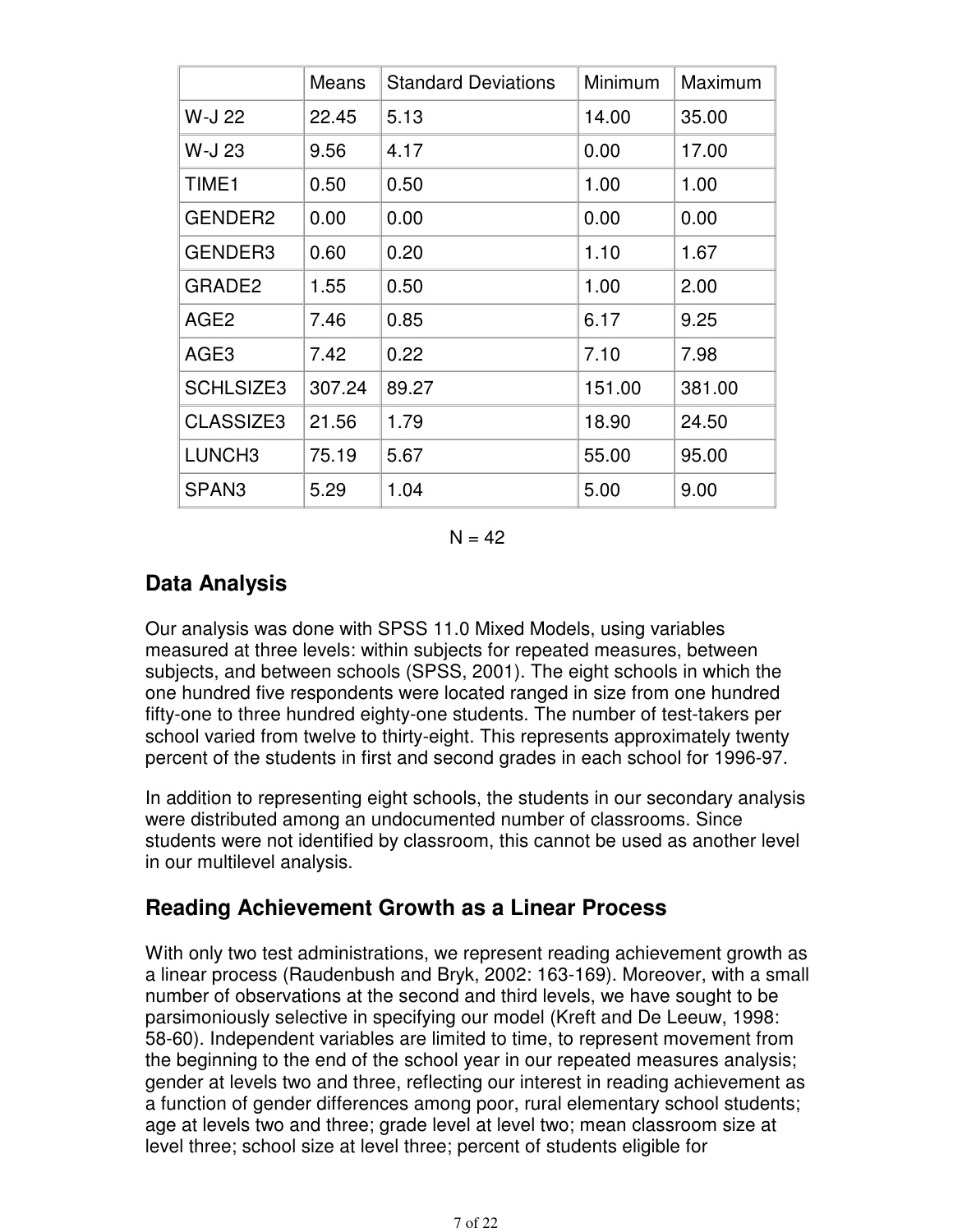|                    | Means  | <b>Standard Deviations</b> | Minimum | Maximum |
|--------------------|--------|----------------------------|---------|---------|
| W-J 22             | 22.45  | 5.13                       | 14.00   | 35.00   |
| W-J 23             | 9.56   | 4.17                       | 0.00    | 17.00   |
| TIME <sub>1</sub>  | 0.50   | 0.50                       | 1.00    | 1.00    |
| GENDER2            | 0.00   | 0.00                       | 0.00    | 0.00    |
| GENDER3            | 0.60   | 0.20                       | 1.10    | 1.67    |
| GRADE2             | 1.55   | 0.50                       | 1.00    | 2.00    |
| AGE <sub>2</sub>   | 7.46   | 0.85                       | 6.17    | 9.25    |
| AGE3               | 7.42   | 0.22                       | 7.10    | 7.98    |
| <b>SCHLSIZE3</b>   | 307.24 | 89.27                      | 151.00  | 381.00  |
| CLASSIZE3          | 21.56  | 1.79                       | 18.90   | 24.50   |
| LUNCH <sub>3</sub> | 75.19  | 5.67                       | 55.00   | 95.00   |
| SPAN <sub>3</sub>  | 5.29   | 1.04                       | 5.00    | 9.00    |

 $N = 42$ 

### **Data Analysis**

Our analysis was done with SPSS 11.0 Mixed Models, using variables measured at three levels: within subjects for repeated measures, between subjects, and between schools (SPSS, 2001). The eight schools in which the one hundred five respondents were located ranged in size from one hundred fifty-one to three hundred eighty-one students. The number of test-takers per school varied from twelve to thirty-eight. This represents approximately twenty percent of the students in first and second grades in each school for 1996-97.

In addition to representing eight schools, the students in our secondary analysis were distributed among an undocumented number of classrooms. Since students were not identified by classroom, this cannot be used as another level in our multilevel analysis.

### **Reading Achievement Growth as a Linear Process**

With only two test administrations, we represent reading achievement growth as a linear process (Raudenbush and Bryk, 2002: 163-169). Moreover, with a small number of observations at the second and third levels, we have sought to be parsimoniously selective in specifying our model (Kreft and De Leeuw, 1998: 58-60). Independent variables are limited to time, to represent movement from the beginning to the end of the school year in our repeated measures analysis; gender at levels two and three, reflecting our interest in reading achievement as a function of gender differences among poor, rural elementary school students; age at levels two and three; grade level at level two; mean classroom size at level three; school size at level three; percent of students eligible for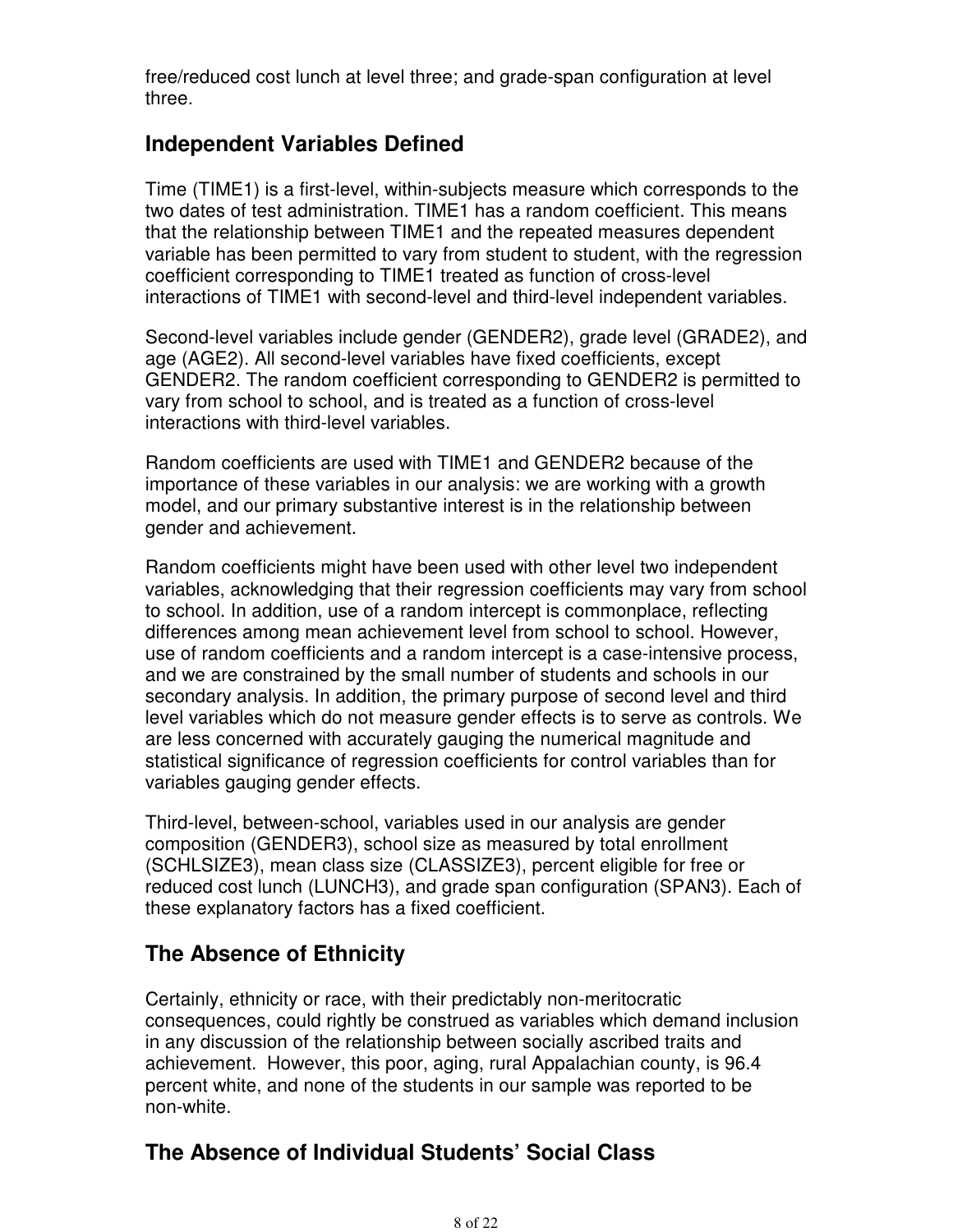free/reduced cost lunch at level three; and grade-span configuration at level three.

### **Independent Variables Defined**

Time (TIME1) is a first-level, within-subjects measure which corresponds to the two dates of test administration. TIME1 has a random coefficient. This means that the relationship between TIME1 and the repeated measures dependent variable has been permitted to vary from student to student, with the regression coefficient corresponding to TIME1 treated as function of cross-level interactions of TIME1 with second-level and third-level independent variables.

Second-level variables include gender (GENDER2), grade level (GRADE2), and age (AGE2). All second-level variables have fixed coefficients, except GENDER2. The random coefficient corresponding to GENDER2 is permitted to vary from school to school, and is treated as a function of cross-level interactions with third-level variables.

Random coefficients are used with TIME1 and GENDER2 because of the importance of these variables in our analysis: we are working with a growth model, and our primary substantive interest is in the relationship between gender and achievement.

Random coefficients might have been used with other level two independent variables, acknowledging that their regression coefficients may vary from school to school. In addition, use of a random intercept is commonplace, reflecting differences among mean achievement level from school to school. However, use of random coefficients and a random intercept is a case-intensive process, and we are constrained by the small number of students and schools in our secondary analysis. In addition, the primary purpose of second level and third level variables which do not measure gender effects is to serve as controls. We are less concerned with accurately gauging the numerical magnitude and statistical significance of regression coefficients for control variables than for variables gauging gender effects.

Third-level, between-school, variables used in our analysis are gender composition (GENDER3), school size as measured by total enrollment (SCHLSIZE3), mean class size (CLASSIZE3), percent eligible for free or reduced cost lunch (LUNCH3), and grade span configuration (SPAN3). Each of these explanatory factors has a fixed coefficient.

# **The Absence of Ethnicity**

Certainly, ethnicity or race, with their predictably non-meritocratic consequences, could rightly be construed as variables which demand inclusion in any discussion of the relationship between socially ascribed traits and achievement. However, this poor, aging, rural Appalachian county, is 96.4 percent white, and none of the students in our sample was reported to be non-white.

# **The Absence of Individual Students' Social Class**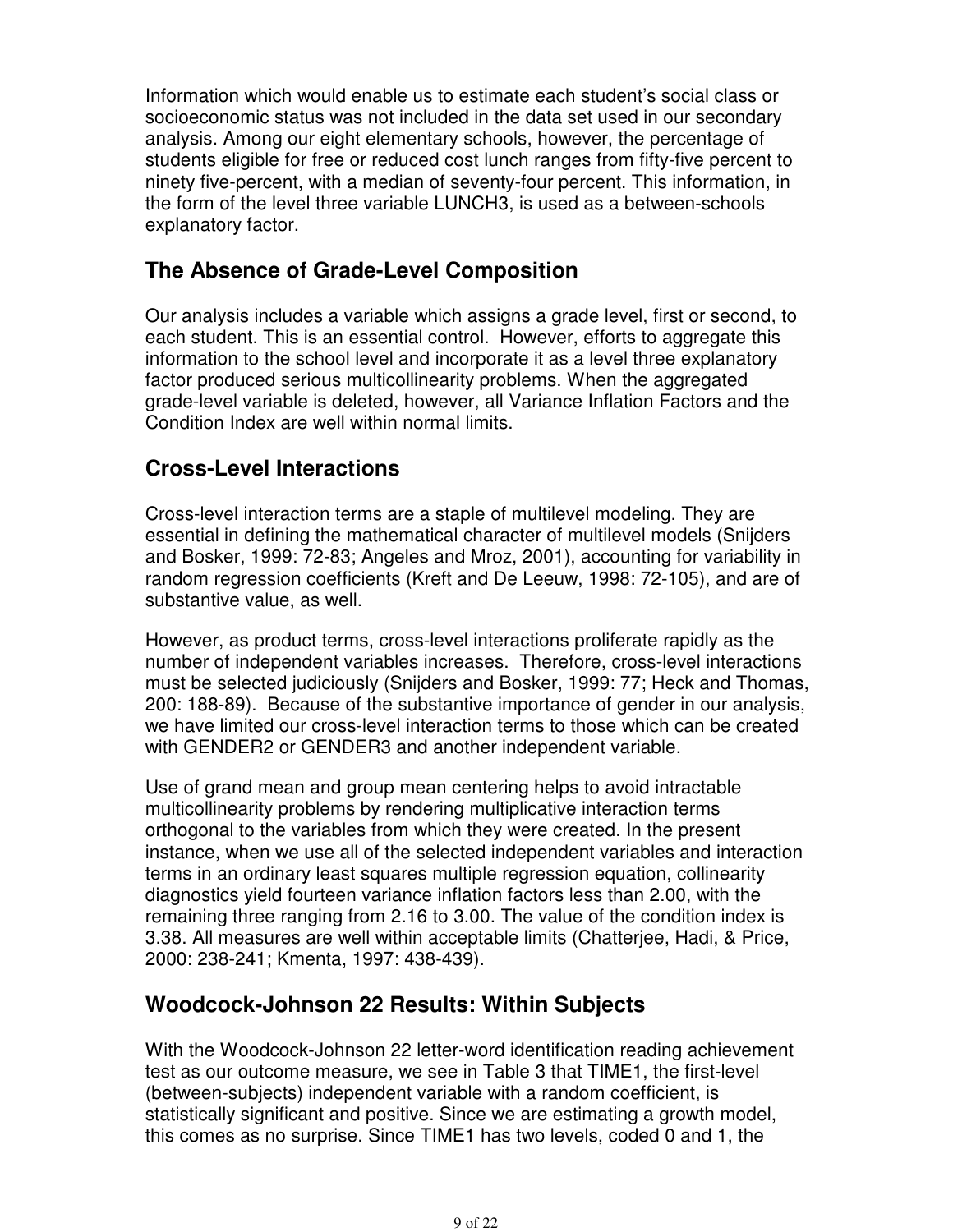Information which would enable us to estimate each student's social class or socioeconomic status was not included in the data set used in our secondary analysis. Among our eight elementary schools, however, the percentage of students eligible for free or reduced cost lunch ranges from fifty-five percent to ninety five-percent, with a median of seventy-four percent. This information, in the form of the level three variable LUNCH3, is used as a between-schools explanatory factor.

### **The Absence of Grade-Level Composition**

Our analysis includes a variable which assigns a grade level, first or second, to each student. This is an essential control. However, efforts to aggregate this information to the school level and incorporate it as a level three explanatory factor produced serious multicollinearity problems. When the aggregated grade-level variable is deleted, however, all Variance Inflation Factors and the Condition Index are well within normal limits.

### **Cross-Level Interactions**

Cross-level interaction terms are a staple of multilevel modeling. They are essential in defining the mathematical character of multilevel models (Snijders and Bosker, 1999: 72-83; Angeles and Mroz, 2001), accounting for variability in random regression coefficients (Kreft and De Leeuw, 1998: 72-105), and are of substantive value, as well.

However, as product terms, cross-level interactions proliferate rapidly as the number of independent variables increases. Therefore, cross-level interactions must be selected judiciously (Snijders and Bosker, 1999: 77; Heck and Thomas, 200: 188-89). Because of the substantive importance of gender in our analysis, we have limited our cross-level interaction terms to those which can be created with GENDER2 or GENDER3 and another independent variable.

Use of grand mean and group mean centering helps to avoid intractable multicollinearity problems by rendering multiplicative interaction terms orthogonal to the variables from which they were created. In the present instance, when we use all of the selected independent variables and interaction terms in an ordinary least squares multiple regression equation, collinearity diagnostics yield fourteen variance inflation factors less than 2.00, with the remaining three ranging from 2.16 to 3.00. The value of the condition index is 3.38. All measures are well within acceptable limits (Chatterjee, Hadi, & Price, 2000: 238-241; Kmenta, 1997: 438-439).

#### **Woodcock-Johnson 22 Results: Within Subjects**

With the Woodcock-Johnson 22 letter-word identification reading achievement test as our outcome measure, we see in Table 3 that TIME1, the first-level (between-subjects) independent variable with a random coefficient, is statistically significant and positive. Since we are estimating a growth model, this comes as no surprise. Since TIME1 has two levels, coded 0 and 1, the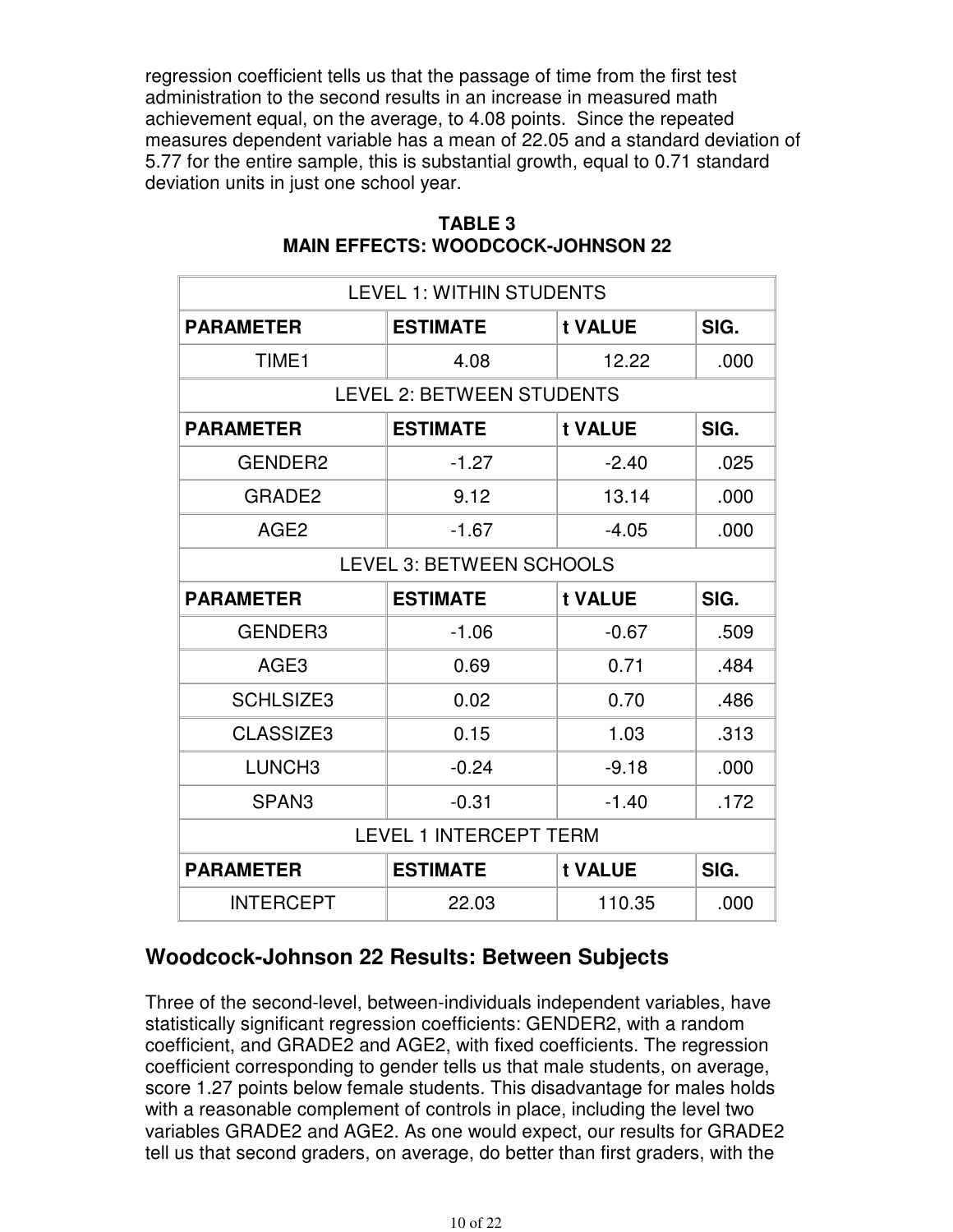regression coefficient tells us that the passage of time from the first test administration to the second results in an increase in measured math achievement equal, on the average, to 4.08 points. Since the repeated measures dependent variable has a mean of 22.05 and a standard deviation of 5.77 for the entire sample, this is substantial growth, equal to 0.71 standard deviation units in just one school year.

| <b>LEVEL 1: WITHIN STUDENTS</b>                        |                                    |         |      |  |  |
|--------------------------------------------------------|------------------------------------|---------|------|--|--|
| <b>PARAMETER</b>                                       | <b>ESTIMATE</b>                    | t VALUE | SIG. |  |  |
| TIME <sub>1</sub>                                      | 4.08                               | 12.22   | .000 |  |  |
|                                                        | <b>LEVEL 2: BETWEEN STUDENTS</b>   |         |      |  |  |
| <b>PARAMETER</b>                                       | <b>ESTIMATE</b>                    | t VALUE | SIG. |  |  |
| GENDER2                                                | $-1.27$                            | $-2.40$ | .025 |  |  |
| GRADE <sub>2</sub>                                     | 9.12                               | 13.14   | .000 |  |  |
| AGE <sub>2</sub>                                       | $-1.67$                            | $-4.05$ | .000 |  |  |
| <b>LEVEL 3: BETWEEN SCHOOLS</b>                        |                                    |         |      |  |  |
| <b>PARAMETER</b><br><b>ESTIMATE</b><br>SIG.<br>t VALUE |                                    |         |      |  |  |
| GENDER3                                                | $-1.06$                            | $-0.67$ | .509 |  |  |
| AGE <sub>3</sub>                                       | 0.69                               | 0.71    | .484 |  |  |
| <b>SCHLSIZE3</b>                                       | 0.02                               | 0.70    | .486 |  |  |
| CLASSIZE3                                              | 0.15                               | 1.03    | .313 |  |  |
| LUNCH <sub>3</sub>                                     | $-0.24$                            | $-9.18$ | .000 |  |  |
| SPAN <sub>3</sub>                                      | $-0.31$                            | $-1.40$ | .172 |  |  |
| <b>LEVEL 1 INTERCEPT TERM</b>                          |                                    |         |      |  |  |
| <b>PARAMETER</b>                                       | <b>ESTIMATE</b><br>t VALUE<br>SIG. |         |      |  |  |
| <b>INTERCEPT</b>                                       | 22.03                              | 110.35  | .000 |  |  |

#### **TABLE 3 MAIN EFFECTS: WOODCOCK-JOHNSON 22**

# **Woodcock-Johnson 22 Results: Between Subjects**

Three of the second-level, between-individuals independent variables, have statistically significant regression coefficients: GENDER2, with a random coefficient, and GRADE2 and AGE2, with fixed coefficients. The regression coefficient corresponding to gender tells us that male students, on average, score 1.27 points below female students. This disadvantage for males holds with a reasonable complement of controls in place, including the level two variables GRADE2 and AGE2. As one would expect, our results for GRADE2 tell us that second graders, on average, do better than first graders, with the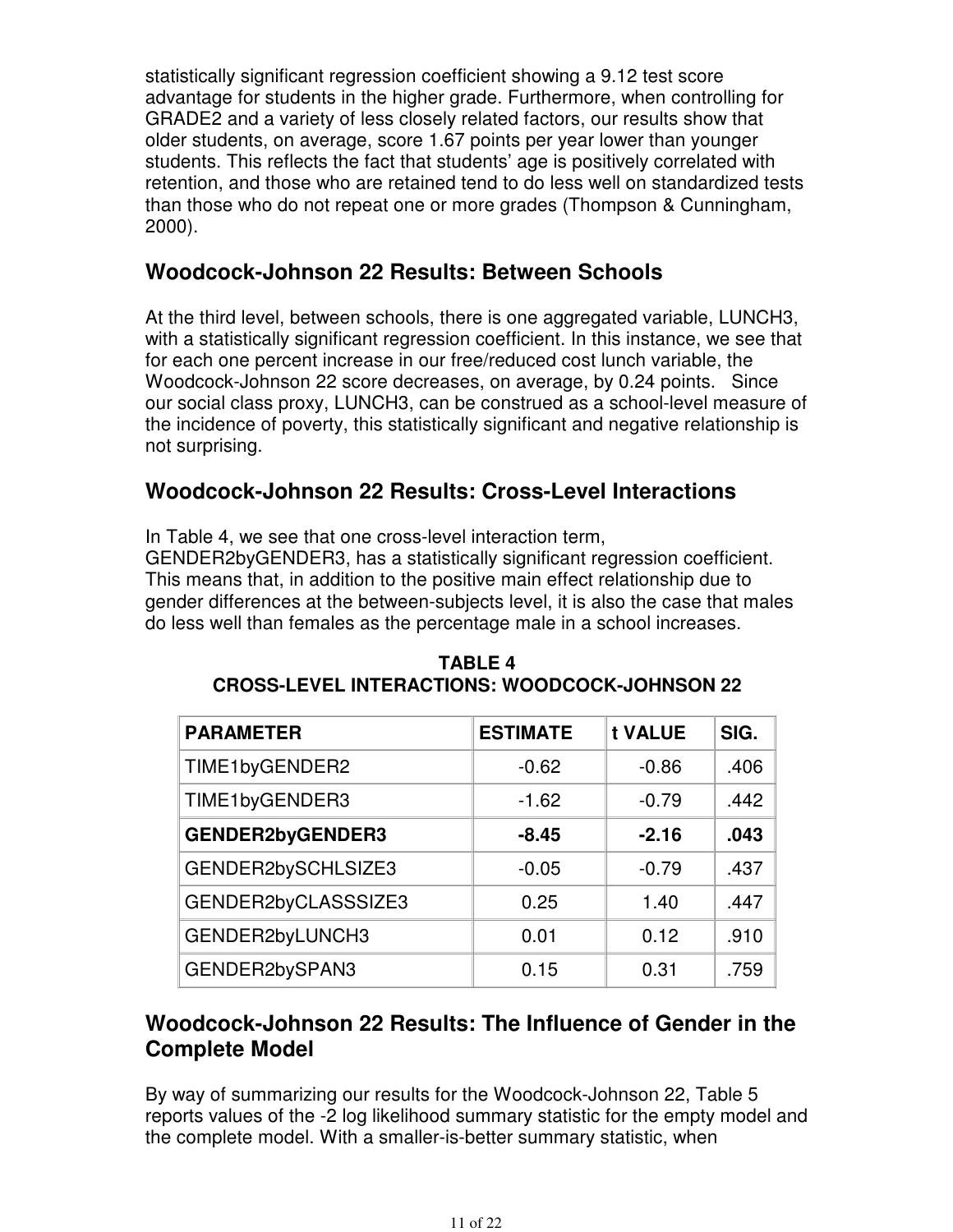statistically significant regression coefficient showing a 9.12 test score advantage for students in the higher grade. Furthermore, when controlling for GRADE2 and a variety of less closely related factors, our results show that older students, on average, score 1.67 points per year lower than younger students. This reflects the fact that students' age is positively correlated with retention, and those who are retained tend to do less well on standardized tests than those who do not repeat one or more grades (Thompson & Cunningham, 2000).

### **Woodcock-Johnson 22 Results: Between Schools**

At the third level, between schools, there is one aggregated variable, LUNCH3, with a statistically significant regression coefficient. In this instance, we see that for each one percent increase in our free/reduced cost lunch variable, the Woodcock-Johnson 22 score decreases, on average, by 0.24 points. Since our social class proxy, LUNCH3, can be construed as a school-level measure of the incidence of poverty, this statistically significant and negative relationship is not surprising.

### **Woodcock-Johnson 22 Results: Cross-Level Interactions**

In Table 4, we see that one cross-level interaction term,

GENDER2byGENDER3, has a statistically significant regression coefficient. This means that, in addition to the positive main effect relationship due to gender differences at the between-subjects level, it is also the case that males do less well than females as the percentage male in a school increases.

| <b>PARAMETER</b>        | <b>ESTIMATE</b> | t VALUE | SIG. |
|-------------------------|-----------------|---------|------|
| TIME1byGENDER2          | $-0.62$         | $-0.86$ | .406 |
| TIME1byGENDER3          | $-1.62$         | $-0.79$ | .442 |
| <b>GENDER2byGENDER3</b> | $-8.45$         | $-2.16$ | .043 |
| GENDER2bySCHLSIZE3      | $-0.05$         | $-0.79$ | .437 |
| GENDER2byCLASSSIZE3     | 0.25            | 1.40    | .447 |
| GENDER2byLUNCH3         | 0.01            | 0.12    | .910 |
| GENDER2bySPAN3          | 0.15            | 0.31    | .759 |

**TABLE 4 CROSS-LEVEL INTERACTIONS: WOODCOCK-JOHNSON 22**

### **Woodcock-Johnson 22 Results: The Influence of Gender in the Complete Model**

By way of summarizing our results for the Woodcock-Johnson 22, Table 5 reports values of the -2 log likelihood summary statistic for the empty model and the complete model. With a smaller-is-better summary statistic, when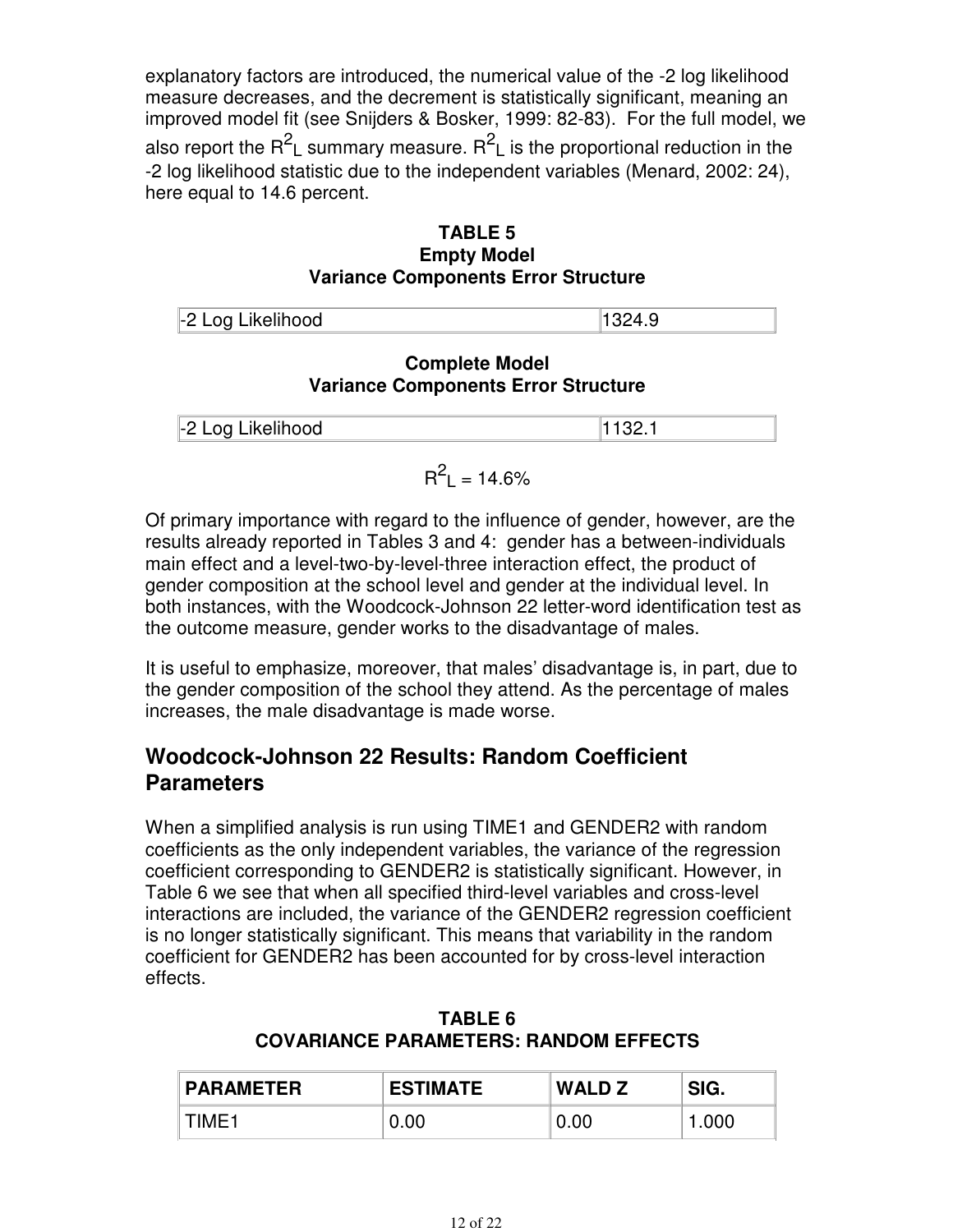explanatory factors are introduced, the numerical value of the -2 log likelihood measure decreases, and the decrement is statistically significant, meaning an improved model fit (see Snijders & Bosker, 1999: 82-83). For the full model, we also report the R<sup>2</sup>L summary measure. R<sup>2</sup>L is the proportional reduction in the -2 log likelihood statistic due to the independent variables (Menard, 2002: 24), here equal to 14.6 percent.

#### **TABLE 5 Empty Model Variance Components Error Structure**

| -2 Log Likelihood |  |
|-------------------|--|
|                   |  |

#### **Complete Model Variance Components Error Structure**

| Log Likelihood<br>1-2 L<br>$\sim$ $ \sim$ $\sim$ |  |
|--------------------------------------------------|--|

$$
R^2_L = 14.6\%
$$

Of primary importance with regard to the influence of gender, however, are the results already reported in Tables 3 and 4: gender has a between-individuals main effect and a level-two-by-level-three interaction effect, the product of gender composition at the school level and gender at the individual level. In both instances, with the Woodcock-Johnson 22 letter-word identification test as the outcome measure, gender works to the disadvantage of males.

It is useful to emphasize, moreover, that males' disadvantage is, in part, due to the gender composition of the school they attend. As the percentage of males increases, the male disadvantage is made worse.

### **Woodcock-Johnson 22 Results: Random Coefficient Parameters**

When a simplified analysis is run using TIME1 and GENDER2 with random coefficients as the only independent variables, the variance of the regression coefficient corresponding to GENDER2 is statistically significant. However, in Table 6 we see that when all specified third-level variables and cross-level interactions are included, the variance of the GENDER2 regression coefficient is no longer statistically significant. This means that variability in the random coefficient for GENDER2 has been accounted for by cross-level interaction effects.

| <b>PARAMETER</b> | <b>ESTIMATE</b> | <b>WALD Z</b> | SIG.  |
|------------------|-----------------|---------------|-------|
| TIME1            | 0.00            | 0.00          | 1.000 |

#### **TABLE 6 COVARIANCE PARAMETERS: RANDOM EFFECTS**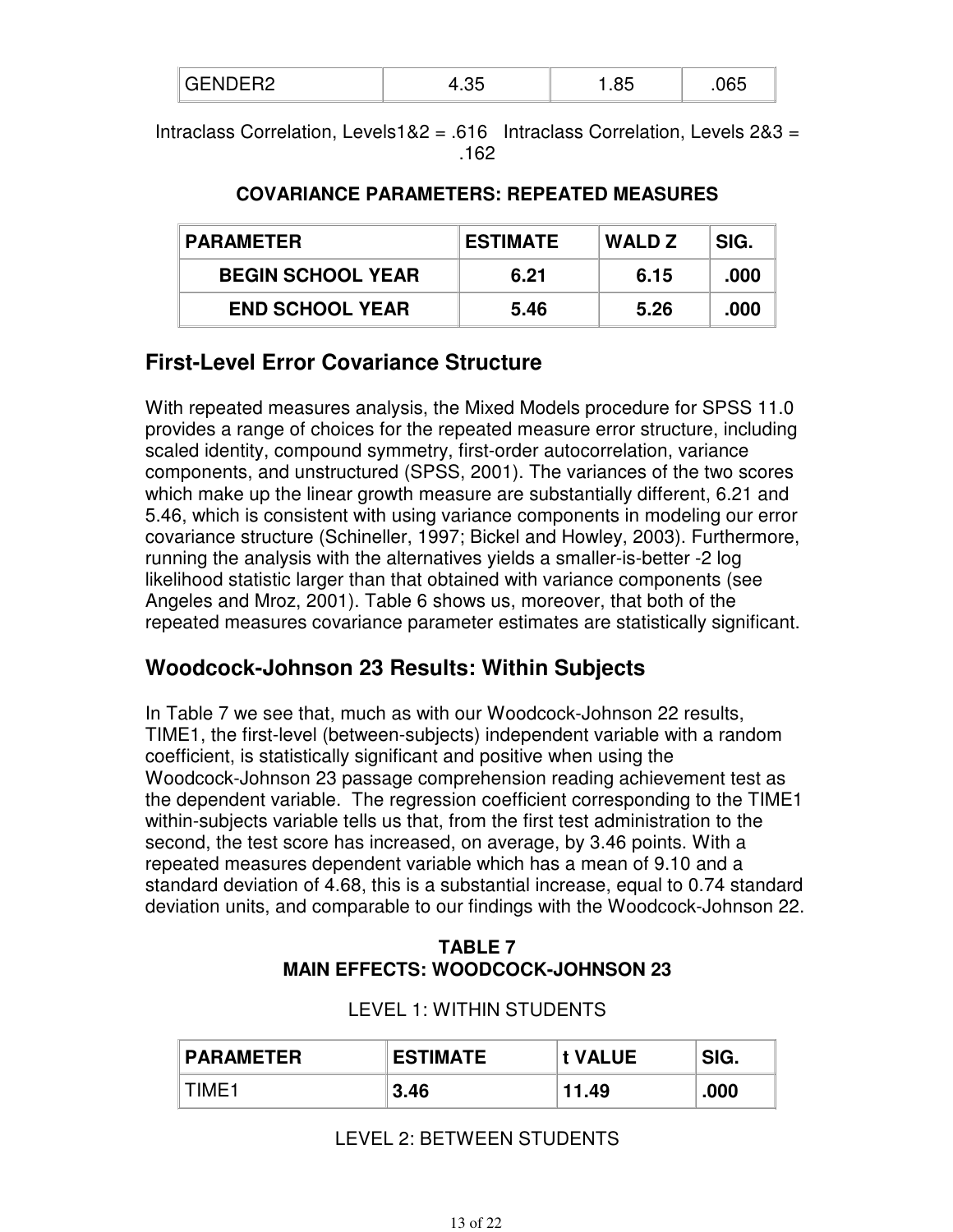| AC<br>. |  |
|---------|--|
|---------|--|

Intraclass Correlation, Levels1&2 = .616 Intraclass Correlation, Levels 2&3 = .162

#### **COVARIANCE PARAMETERS: REPEATED MEASURES**

| <b>PARAMETER</b>         | <b>ESTIMATE</b> | <b>WALD Z</b> | SIG. |
|--------------------------|-----------------|---------------|------|
| <b>BEGIN SCHOOL YEAR</b> | 6.21            | 6.15          | .000 |
| <b>END SCHOOL YEAR</b>   | 5.46            | 5.26          | .000 |

### **First-Level Error Covariance Structure**

With repeated measures analysis, the Mixed Models procedure for SPSS 11.0 provides a range of choices for the repeated measure error structure, including scaled identity, compound symmetry, first-order autocorrelation, variance components, and unstructured (SPSS, 2001). The variances of the two scores which make up the linear growth measure are substantially different, 6.21 and 5.46, which is consistent with using variance components in modeling our error covariance structure (Schineller, 1997; Bickel and Howley, 2003). Furthermore, running the analysis with the alternatives yields a smaller-is-better -2 log likelihood statistic larger than that obtained with variance components (see Angeles and Mroz, 2001). Table 6 shows us, moreover, that both of the repeated measures covariance parameter estimates are statistically significant.

### **Woodcock-Johnson 23 Results: Within Subjects**

In Table 7 we see that, much as with our Woodcock-Johnson 22 results, TIME1, the first-level (between-subjects) independent variable with a random coefficient, is statistically significant and positive when using the Woodcock-Johnson 23 passage comprehension reading achievement test as the dependent variable. The regression coefficient corresponding to the TIME1 within-subjects variable tells us that, from the first test administration to the second, the test score has increased, on average, by 3.46 points. With a repeated measures dependent variable which has a mean of 9.10 and a standard deviation of 4.68, this is a substantial increase, equal to 0.74 standard deviation units, and comparable to our findings with the Woodcock-Johnson 22.

#### **TABLE 7 MAIN EFFECTS: WOODCOCK-JOHNSON 23**

| <b>PARAMETER</b> | <b>ESTIMATE</b> | t VALUE | SIG. |
|------------------|-----------------|---------|------|
| ⊺TIME1           | 3.46            | 11.49   | .000 |

#### LEVEL 1: WITHIN STUDENTS

#### LEVEL 2: BETWEEN STUDENTS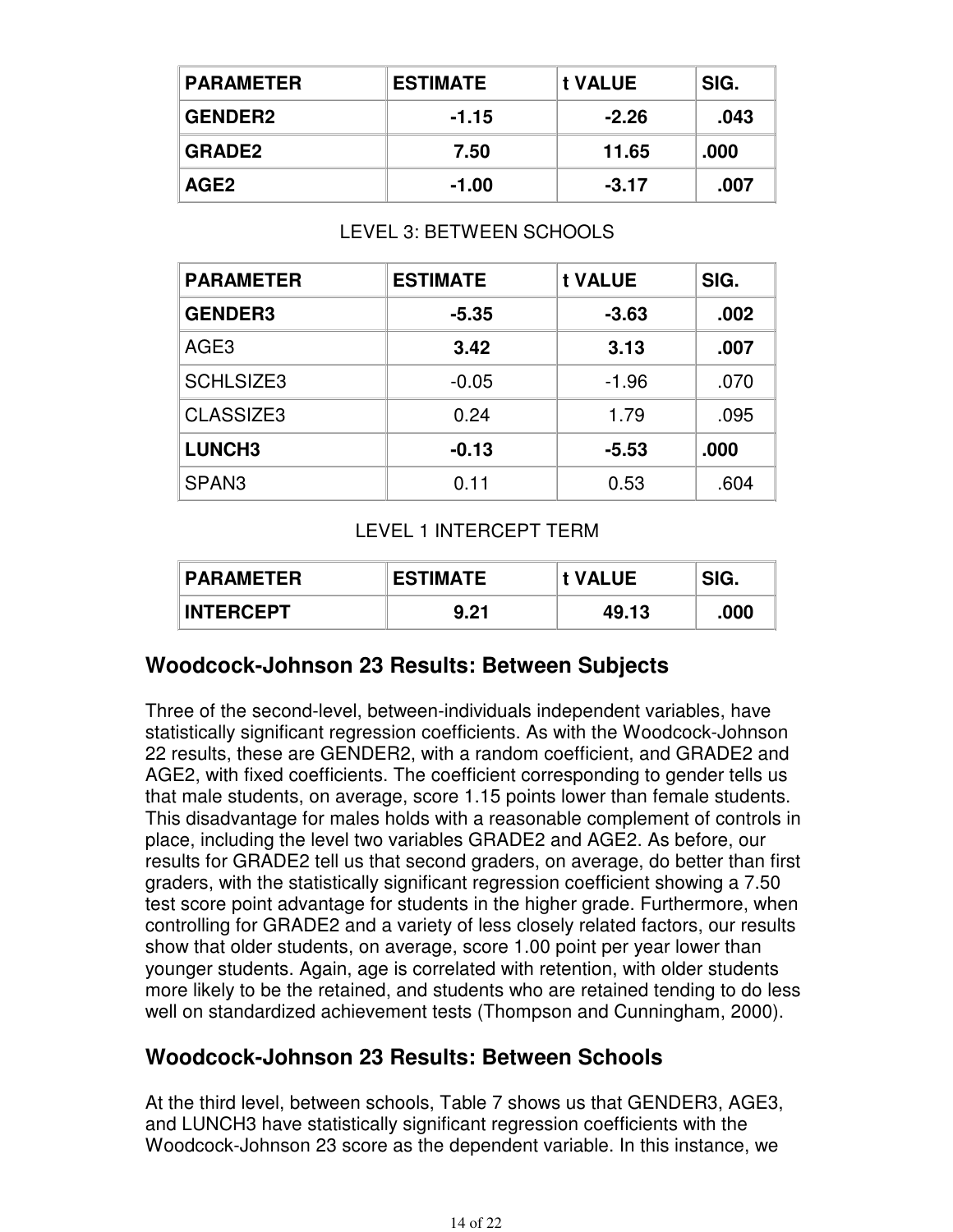| <b>PARAMETER</b> | <b>ESTIMATE</b> | t VALUE | SIG. |
|------------------|-----------------|---------|------|
| <b>GENDER2</b>   | $-1.15$         | $-2.26$ | .043 |
| <b>GRADE2</b>    | 7.50            | 11.65   | .000 |
| AGE2             | $-1.00$         | $-3.17$ | .007 |

#### LEVEL 3: BETWEEN SCHOOLS

| <b>PARAMETER</b>  | <b>ESTIMATE</b> | t VALUE | SIG. |
|-------------------|-----------------|---------|------|
| <b>GENDER3</b>    | $-5.35$         | $-3.63$ | .002 |
| AGE <sub>3</sub>  | 3.42            | 3.13    | .007 |
| <b>SCHLSIZE3</b>  | $-0.05$         | $-1.96$ | .070 |
| CLASSIZE3         | 0.24            | 1.79    | .095 |
| <b>LUNCH3</b>     | $-0.13$         | $-5.53$ | .000 |
| SPAN <sub>3</sub> | 0.11            | 0.53    | .604 |

#### LEVEL 1 INTERCEPT TERM

| <b>PARAMETER</b> | <b>ESTIMATE</b> | <b>t VALUE</b> | SIG. |
|------------------|-----------------|----------------|------|
| <b>INTERCEPT</b> | 9.21            | 49.13          | .000 |

### **Woodcock-Johnson 23 Results: Between Subjects**

Three of the second-level, between-individuals independent variables, have statistically significant regression coefficients. As with the Woodcock-Johnson 22 results, these are GENDER2, with a random coefficient, and GRADE2 and AGE2, with fixed coefficients. The coefficient corresponding to gender tells us that male students, on average, score 1.15 points lower than female students. This disadvantage for males holds with a reasonable complement of controls in place, including the level two variables GRADE2 and AGE2. As before, our results for GRADE2 tell us that second graders, on average, do better than first graders, with the statistically significant regression coefficient showing a 7.50 test score point advantage for students in the higher grade. Furthermore, when controlling for GRADE2 and a variety of less closely related factors, our results show that older students, on average, score 1.00 point per year lower than younger students. Again, age is correlated with retention, with older students more likely to be the retained, and students who are retained tending to do less well on standardized achievement tests (Thompson and Cunningham, 2000).

### **Woodcock-Johnson 23 Results: Between Schools**

At the third level, between schools, Table 7 shows us that GENDER3, AGE3, and LUNCH3 have statistically significant regression coefficients with the Woodcock-Johnson 23 score as the dependent variable. In this instance, we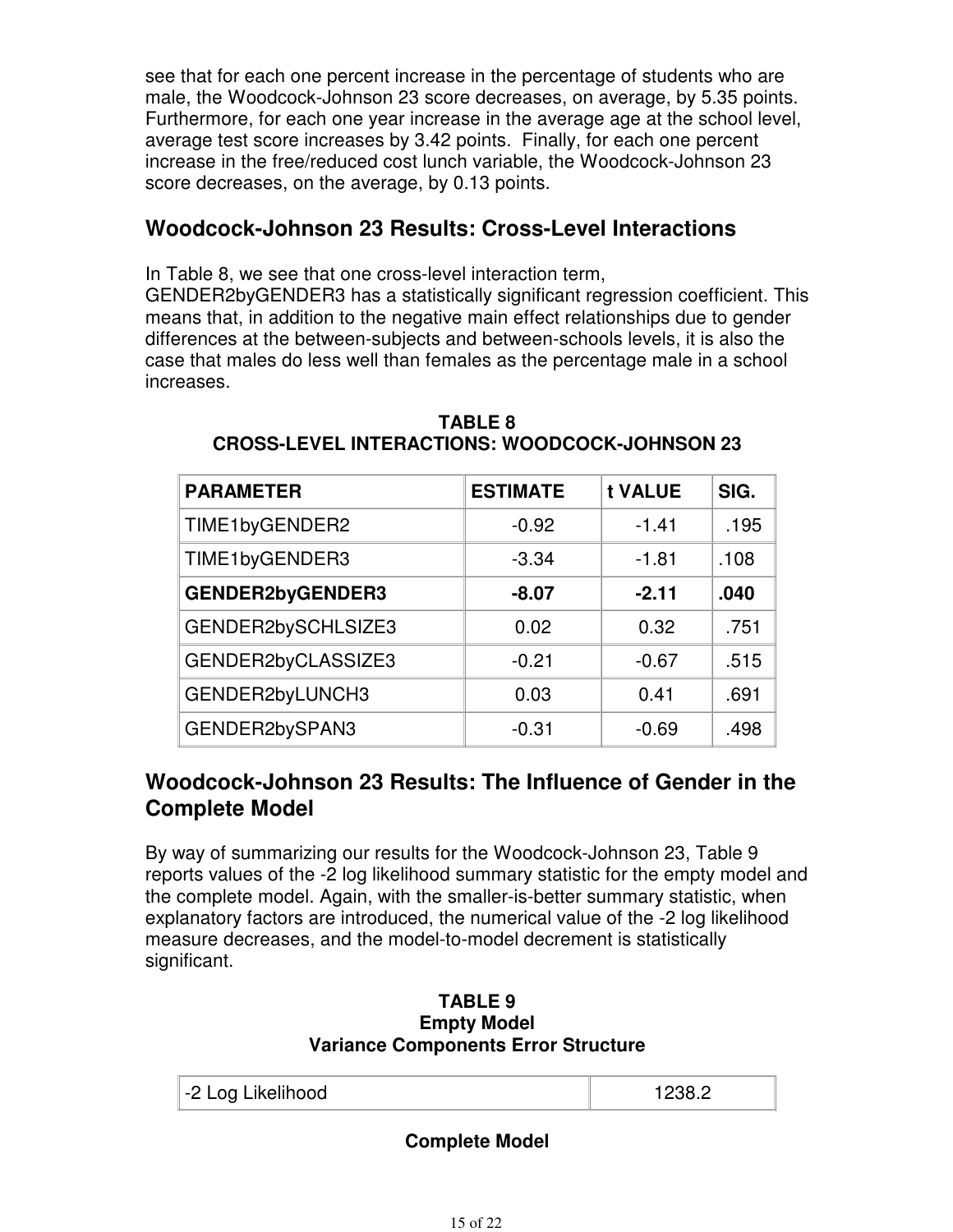see that for each one percent increase in the percentage of students who are male, the Woodcock-Johnson 23 score decreases, on average, by 5.35 points. Furthermore, for each one year increase in the average age at the school level, average test score increases by 3.42 points. Finally, for each one percent increase in the free/reduced cost lunch variable, the Woodcock-Johnson 23 score decreases, on the average, by 0.13 points.

### **Woodcock-Johnson 23 Results: Cross-Level Interactions**

In Table 8, we see that one cross-level interaction term,

GENDER2byGENDER3 has a statistically significant regression coefficient. This means that, in addition to the negative main effect relationships due to gender differences at the between-subjects and between-schools levels, it is also the case that males do less well than females as the percentage male in a school increases.

| <b>PARAMETER</b>        | <b>ESTIMATE</b> | t VALUE | SIG. |
|-------------------------|-----------------|---------|------|
| TIME1byGENDER2          | $-0.92$         | $-1.41$ | .195 |
| TIME1byGENDER3          | $-3.34$         | $-1.81$ | .108 |
| <b>GENDER2byGENDER3</b> | $-8.07$         | $-2.11$ | .040 |
| GENDER2bySCHLSIZE3      | 0.02            | 0.32    | .751 |
| GENDER2byCLASSIZE3      | $-0.21$         | $-0.67$ | .515 |
| GENDER2byLUNCH3         | 0.03            | 0.41    | .691 |
| GENDER2bySPAN3          | $-0.31$         | $-0.69$ | .498 |

#### **TABLE 8 CROSS-LEVEL INTERACTIONS: WOODCOCK-JOHNSON 23**

### **Woodcock-Johnson 23 Results: The Influence of Gender in the Complete Model**

By way of summarizing our results for the Woodcock-Johnson 23, Table 9 reports values of the -2 log likelihood summary statistic for the empty model and the complete model. Again, with the smaller-is-better summary statistic, when explanatory factors are introduced, the numerical value of the -2 log likelihood measure decreases, and the model-to-model decrement is statistically significant.

#### **TABLE 9 Empty Model Variance Components Error Structure**

| -2 Log Likelihood |
|-------------------|
|-------------------|

#### **Complete Model**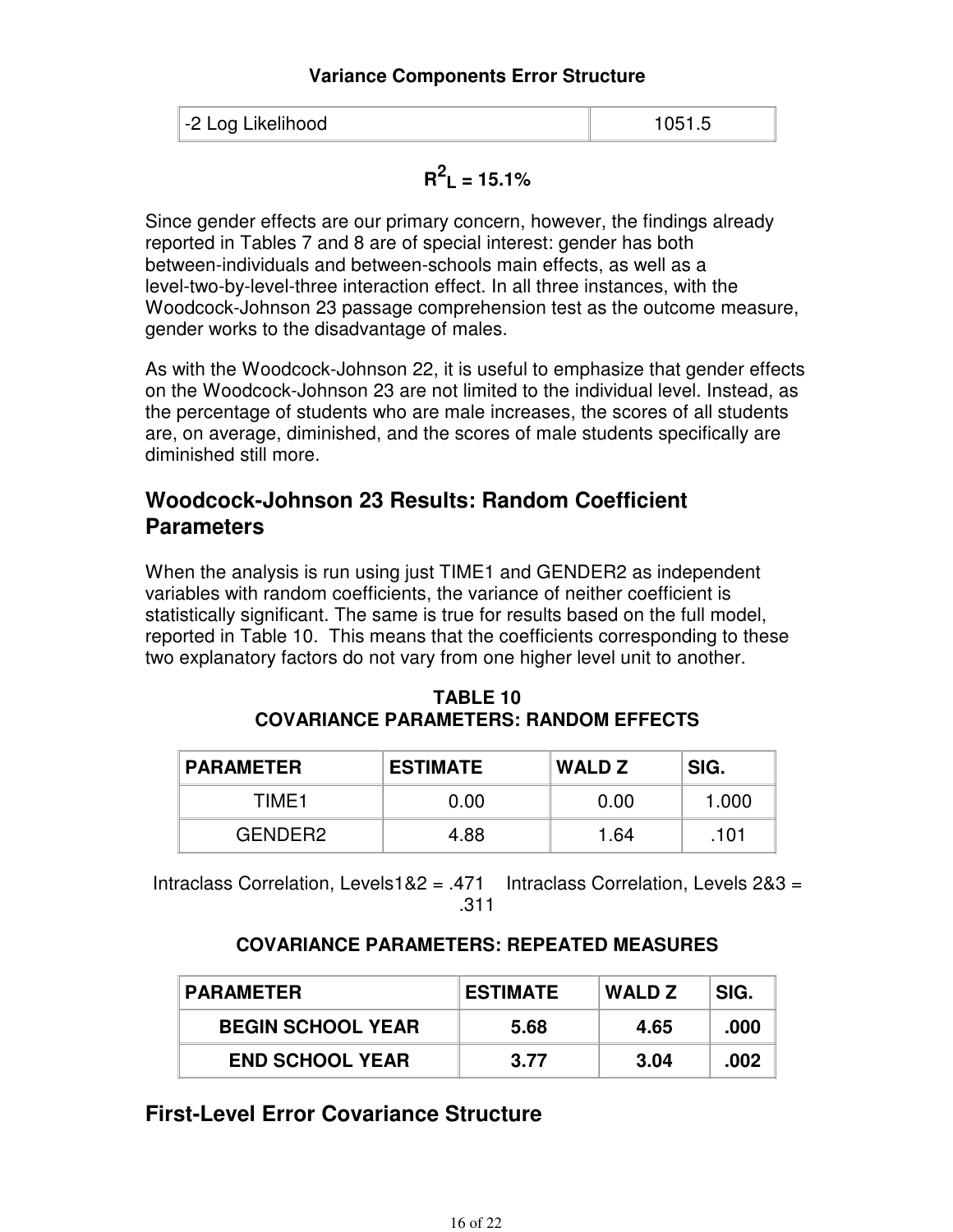#### **Variance Components Error Structure**

| -2 Log Likelihood<br>1051.5 |
|-----------------------------|
|-----------------------------|

# $R^2$ <sub>L</sub> = 15.1%

Since gender effects are our primary concern, however, the findings already reported in Tables 7 and 8 are of special interest: gender has both between-individuals and between-schools main effects, as well as a level-two-by-level-three interaction effect. In all three instances, with the Woodcock-Johnson 23 passage comprehension test as the outcome measure, gender works to the disadvantage of males.

As with the Woodcock-Johnson 22, it is useful to emphasize that gender effects on the Woodcock-Johnson 23 are not limited to the individual level. Instead, as the percentage of students who are male increases, the scores of all students are, on average, diminished, and the scores of male students specifically are diminished still more.

### **Woodcock-Johnson 23 Results: Random Coefficient Parameters**

When the analysis is run using just TIME1 and GENDER2 as independent variables with random coefficients, the variance of neither coefficient is statistically significant. The same is true for results based on the full model, reported in Table 10. This means that the coefficients corresponding to these two explanatory factors do not vary from one higher level unit to another.

| <b>PARAMETER</b> | <b>ESTIMATE</b> | <b>WALD Z</b> | SIG.  |
|------------------|-----------------|---------------|-------|
| TIME1            | 0.00            | 0.00          | 1.000 |
| GENDER2          | 4.88            | 1.64          | .101  |

| TABLE 10                                     |
|----------------------------------------------|
| <b>COVARIANCE PARAMETERS: RANDOM EFFECTS</b> |

Intraclass Correlation, Levels1&2 = .471 Intraclass Correlation, Levels  $283 =$ .311

#### **COVARIANCE PARAMETERS: REPEATED MEASURES**

| <b>PARAMETER</b>         | <b>ESTIMATE</b> | WALD Z | SIG. |
|--------------------------|-----------------|--------|------|
| <b>BEGIN SCHOOL YEAR</b> | 5.68            | 4.65   | .000 |
| <b>END SCHOOL YEAR</b>   | 3.77            | 3.04   | .002 |

### **First-Level Error Covariance Structure**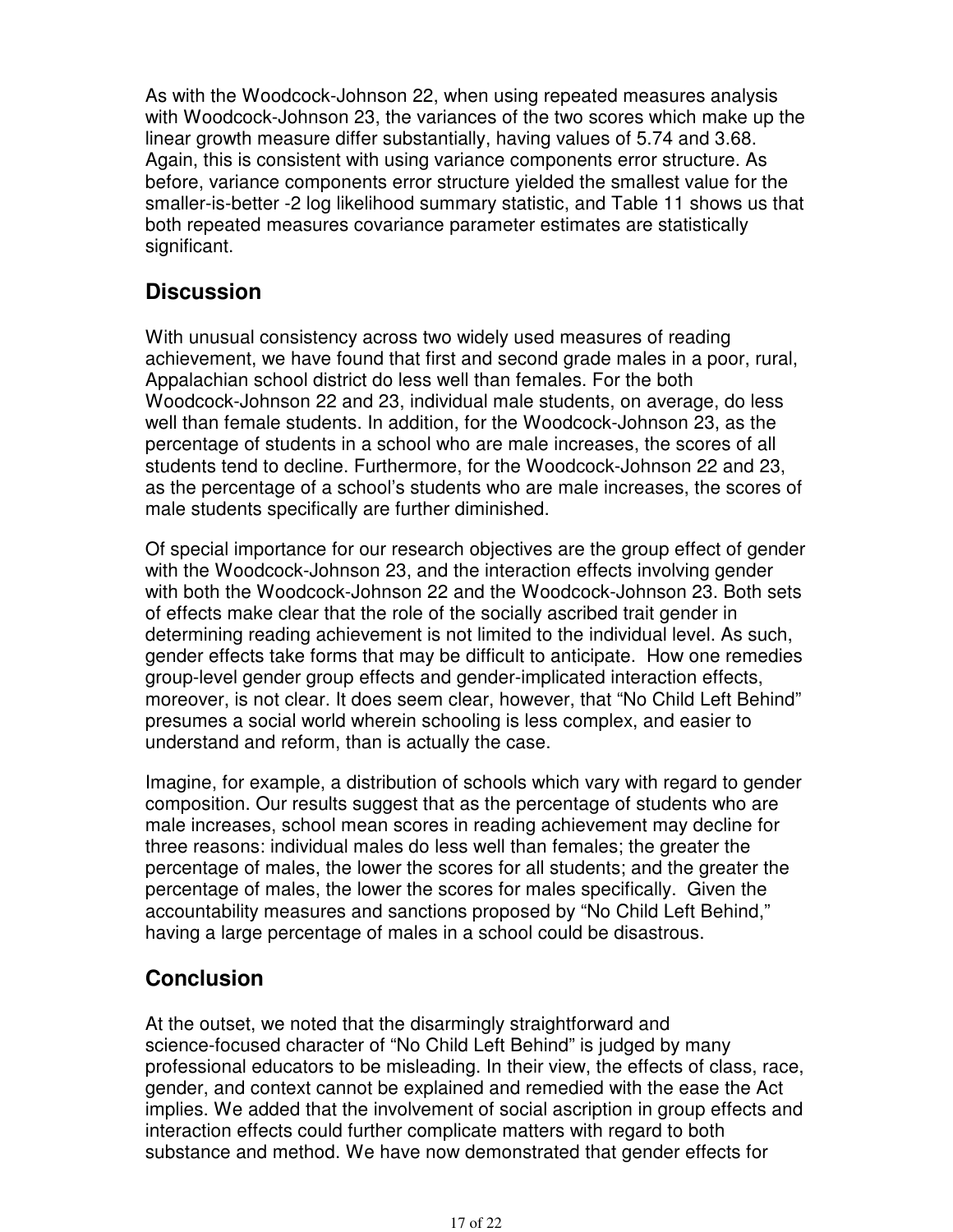As with the Woodcock-Johnson 22, when using repeated measures analysis with Woodcock-Johnson 23, the variances of the two scores which make up the linear growth measure differ substantially, having values of 5.74 and 3.68. Again, this is consistent with using variance components error structure. As before, variance components error structure yielded the smallest value for the smaller-is-better -2 log likelihood summary statistic, and Table 11 shows us that both repeated measures covariance parameter estimates are statistically significant.

### **Discussion**

With unusual consistency across two widely used measures of reading achievement, we have found that first and second grade males in a poor, rural, Appalachian school district do less well than females. For the both Woodcock-Johnson 22 and 23, individual male students, on average, do less well than female students. In addition, for the Woodcock-Johnson 23, as the percentage of students in a school who are male increases, the scores of all students tend to decline. Furthermore, for the Woodcock-Johnson 22 and 23, as the percentage of a school's students who are male increases, the scores of male students specifically are further diminished.

Of special importance for our research objectives are the group effect of gender with the Woodcock-Johnson 23, and the interaction effects involving gender with both the Woodcock-Johnson 22 and the Woodcock-Johnson 23. Both sets of effects make clear that the role of the socially ascribed trait gender in determining reading achievement is not limited to the individual level. As such, gender effects take forms that may be difficult to anticipate. How one remedies group-level gender group effects and gender-implicated interaction effects, moreover, is not clear. It does seem clear, however, that "No Child Left Behind" presumes a social world wherein schooling is less complex, and easier to understand and reform, than is actually the case.

Imagine, for example, a distribution of schools which vary with regard to gender composition. Our results suggest that as the percentage of students who are male increases, school mean scores in reading achievement may decline for three reasons: individual males do less well than females; the greater the percentage of males, the lower the scores for all students; and the greater the percentage of males, the lower the scores for males specifically. Given the accountability measures and sanctions proposed by "No Child Left Behind," having a large percentage of males in a school could be disastrous.

### **Conclusion**

At the outset, we noted that the disarmingly straightforward and science-focused character of "No Child Left Behind" is judged by many professional educators to be misleading. In their view, the effects of class, race, gender, and context cannot be explained and remedied with the ease the Act implies. We added that the involvement of social ascription in group effects and interaction effects could further complicate matters with regard to both substance and method. We have now demonstrated that gender effects for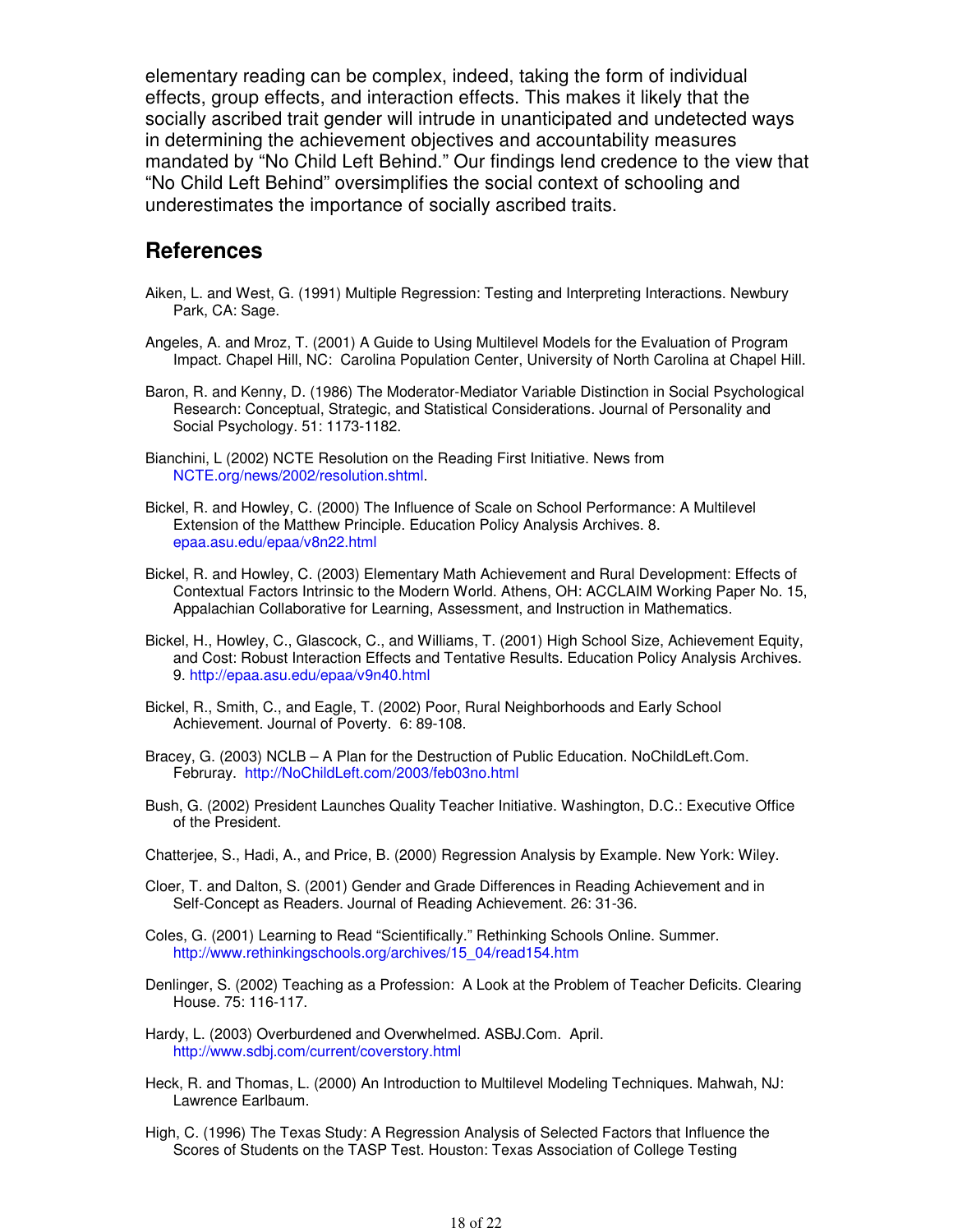elementary reading can be complex, indeed, taking the form of individual effects, group effects, and interaction effects. This makes it likely that the socially ascribed trait gender will intrude in unanticipated and undetected ways in determining the achievement objectives and accountability measures mandated by "No Child Left Behind." Our findings lend credence to the view that "No Child Left Behind" oversimplifies the social context of schooling and underestimates the importance of socially ascribed traits.

#### **References**

- Aiken, L. and West, G. (1991) Multiple Regression: Testing and Interpreting Interactions. Newbury Park, CA: Sage.
- Angeles, A. and Mroz, T. (2001) A Guide to Using Multilevel Models for the Evaluation of Program Impact. Chapel Hill, NC: Carolina Population Center, University of North Carolina at Chapel Hill.
- Baron, R. and Kenny, D. (1986) The Moderator-Mediator Variable Distinction in Social Psychological Research: Conceptual, Strategic, and Statistical Considerations. Journal of Personality and Social Psychology. 51: 1173-1182.
- Bianchini, L (2002) NCTE Resolution on the Reading First Initiative. News from NCTE.org/news/2002/resolution.shtml.
- Bickel, R. and Howley, C. (2000) The Influence of Scale on School Performance: A Multilevel Extension of the Matthew Principle. Education Policy Analysis Archives. 8. epaa.asu.edu/epaa/v8n22.html
- Bickel, R. and Howley, C. (2003) Elementary Math Achievement and Rural Development: Effects of Contextual Factors Intrinsic to the Modern World. Athens, OH: ACCLAIM Working Paper No. 15, Appalachian Collaborative for Learning, Assessment, and Instruction in Mathematics.
- Bickel, H., Howley, C., Glascock, C., and Williams, T. (2001) High School Size, Achievement Equity, and Cost: Robust Interaction Effects and Tentative Results. Education Policy Analysis Archives. 9. http://epaa.asu.edu/epaa/v9n40.html
- Bickel, R., Smith, C., and Eagle, T. (2002) Poor, Rural Neighborhoods and Early School Achievement. Journal of Poverty. 6: 89-108.
- Bracey, G. (2003) NCLB A Plan for the Destruction of Public Education. NoChildLeft.Com. Februray. http://NoChildLeft.com/2003/feb03no.html
- Bush, G. (2002) President Launches Quality Teacher Initiative. Washington, D.C.: Executive Office of the President.
- Chatterjee, S., Hadi, A., and Price, B. (2000) Regression Analysis by Example. New York: Wiley.
- Cloer, T. and Dalton, S. (2001) Gender and Grade Differences in Reading Achievement and in Self-Concept as Readers. Journal of Reading Achievement. 26: 31-36.
- Coles, G. (2001) Learning to Read "Scientifically." Rethinking Schools Online. Summer. http://www.rethinkingschools.org/archives/15\_04/read154.htm
- Denlinger, S. (2002) Teaching as a Profession: A Look at the Problem of Teacher Deficits. Clearing House. 75: 116-117.
- Hardy, L. (2003) Overburdened and Overwhelmed. ASBJ.Com. April. http://www.sdbj.com/current/coverstory.html
- Heck, R. and Thomas, L. (2000) An Introduction to Multilevel Modeling Techniques. Mahwah, NJ: Lawrence Earlbaum.
- High, C. (1996) The Texas Study: A Regression Analysis of Selected Factors that Influence the Scores of Students on the TASP Test. Houston: Texas Association of College Testing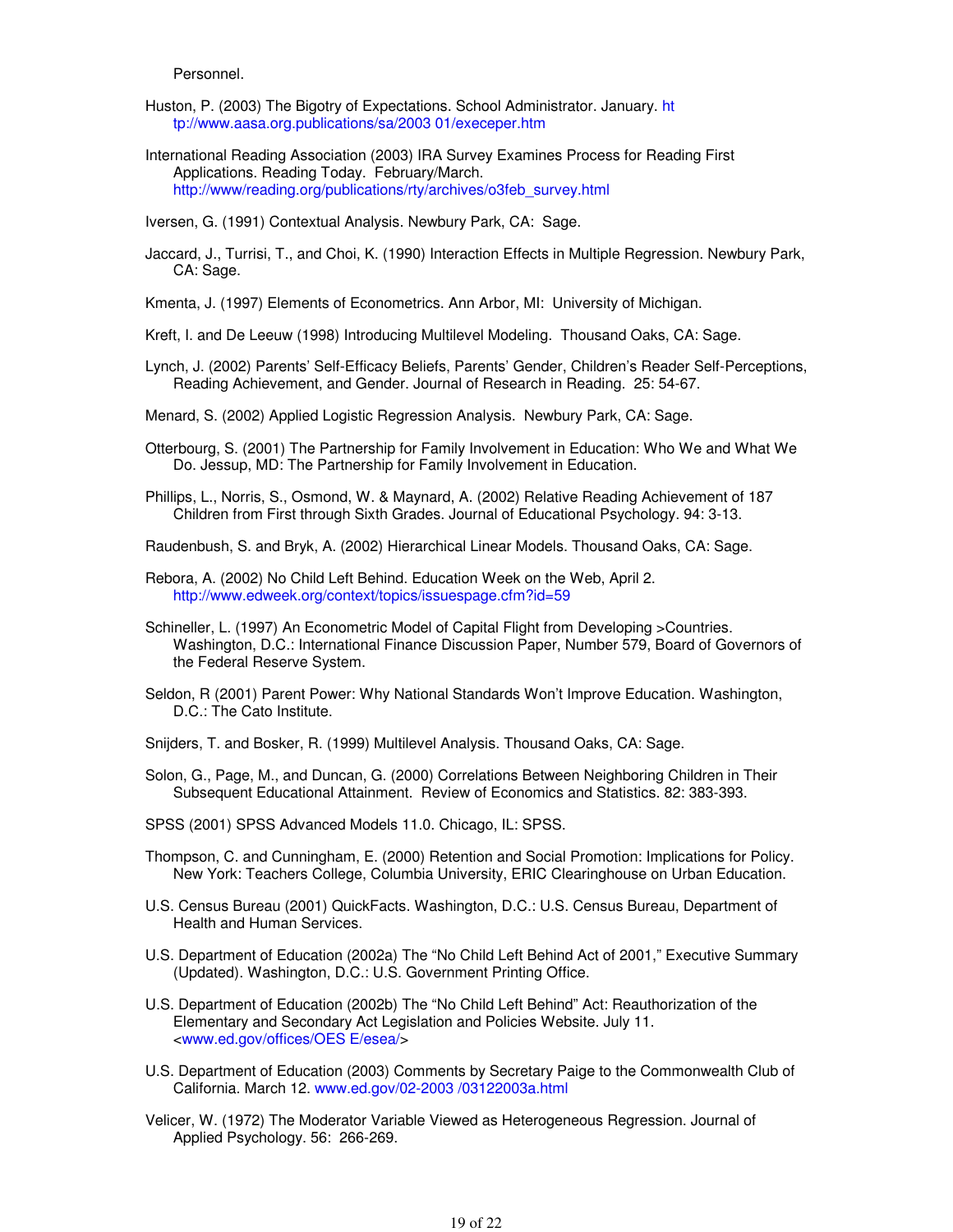Personnel.

- Huston, P. (2003) The Bigotry of Expectations. School Administrator. January. ht tp://www.aasa.org.publications/sa/2003 01/execeper.htm
- International Reading Association (2003) IRA Survey Examines Process for Reading First Applications. Reading Today. February/March. http://www/reading.org/publications/rty/archives/o3feb\_survey.html

Iversen, G. (1991) Contextual Analysis. Newbury Park, CA: Sage.

Jaccard, J., Turrisi, T., and Choi, K. (1990) Interaction Effects in Multiple Regression. Newbury Park, CA: Sage.

Kmenta, J. (1997) Elements of Econometrics. Ann Arbor, MI: University of Michigan.

Kreft, I. and De Leeuw (1998) Introducing Multilevel Modeling. Thousand Oaks, CA: Sage.

Lynch, J. (2002) Parents' Self-Efficacy Beliefs, Parents' Gender, Children's Reader Self-Perceptions, Reading Achievement, and Gender. Journal of Research in Reading. 25: 54-67.

Menard, S. (2002) Applied Logistic Regression Analysis. Newbury Park, CA: Sage.

- Otterbourg, S. (2001) The Partnership for Family Involvement in Education: Who We and What We Do. Jessup, MD: The Partnership for Family Involvement in Education.
- Phillips, L., Norris, S., Osmond, W. & Maynard, A. (2002) Relative Reading Achievement of 187 Children from First through Sixth Grades. Journal of Educational Psychology. 94: 3-13.

Raudenbush, S. and Bryk, A. (2002) Hierarchical Linear Models. Thousand Oaks, CA: Sage.

- Rebora, A. (2002) No Child Left Behind. Education Week on the Web, April 2. http://www.edweek.org/context/topics/issuespage.cfm?id=59
- Schineller, L. (1997) An Econometric Model of Capital Flight from Developing >Countries. Washington, D.C.: International Finance Discussion Paper, Number 579, Board of Governors of the Federal Reserve System.
- Seldon, R (2001) Parent Power: Why National Standards Won't Improve Education. Washington, D.C.: The Cato Institute.

Snijders, T. and Bosker, R. (1999) Multilevel Analysis. Thousand Oaks, CA: Sage.

- Solon, G., Page, M., and Duncan, G. (2000) Correlations Between Neighboring Children in Their Subsequent Educational Attainment. Review of Economics and Statistics. 82: 383-393.
- SPSS (2001) SPSS Advanced Models 11.0. Chicago, IL: SPSS.
- Thompson, C. and Cunningham, E. (2000) Retention and Social Promotion: Implications for Policy. New York: Teachers College, Columbia University, ERIC Clearinghouse on Urban Education.
- U.S. Census Bureau (2001) QuickFacts. Washington, D.C.: U.S. Census Bureau, Department of Health and Human Services.
- U.S. Department of Education (2002a) The "No Child Left Behind Act of 2001," Executive Summary (Updated). Washington, D.C.: U.S. Government Printing Office.
- U.S. Department of Education (2002b) The "No Child Left Behind" Act: Reauthorization of the Elementary and Secondary Act Legislation and Policies Website. July 11. <www.ed.gov/offices/OES E/esea/>
- U.S. Department of Education (2003) Comments by Secretary Paige to the Commonwealth Club of California. March 12. www.ed.gov/02-2003 /03122003a.html
- Velicer, W. (1972) The Moderator Variable Viewed as Heterogeneous Regression. Journal of Applied Psychology. 56: 266-269.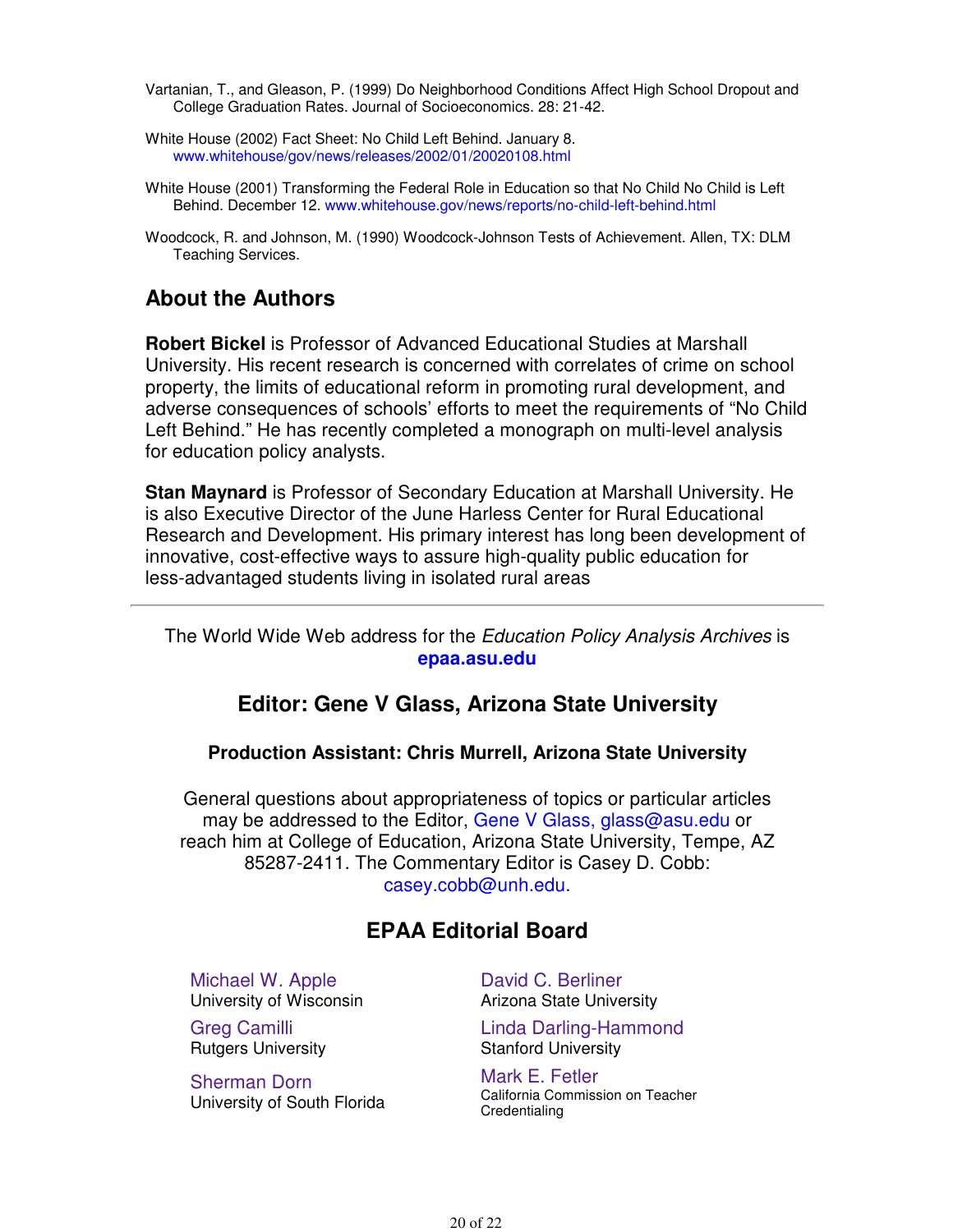- Vartanian, T., and Gleason, P. (1999) Do Neighborhood Conditions Affect High School Dropout and College Graduation Rates. Journal of Socioeconomics. 28: 21-42.
- White House (2002) Fact Sheet: No Child Left Behind. January 8. www.whitehouse/gov/news/releases/2002/01/20020108.html
- White House (2001) Transforming the Federal Role in Education so that No Child No Child is Left Behind. December 12. www.whitehouse.gov/news/reports/no-child-left-behind.html
- Woodcock, R. and Johnson, M. (1990) Woodcock-Johnson Tests of Achievement. Allen, TX: DLM Teaching Services.

### **About the Authors**

**Robert Bickel** is Professor of Advanced Educational Studies at Marshall University. His recent research is concerned with correlates of crime on school property, the limits of educational reform in promoting rural development, and adverse consequences of schools' efforts to meet the requirements of "No Child Left Behind." He has recently completed a monograph on multi-level analysis for education policy analysts.

**Stan Maynard** is Professor of Secondary Education at Marshall University. He is also Executive Director of the June Harless Center for Rural Educational Research and Development. His primary interest has long been development of innovative, cost-effective ways to assure high-quality public education for less-advantaged students living in isolated rural areas

The World Wide Web address for the Education Policy Analysis Archives is **epaa.asu.edu**

#### **Editor: Gene V Glass, Arizona State University**

#### **Production Assistant: Chris Murrell, Arizona State University**

General questions about appropriateness of topics or particular articles may be addressed to the Editor, Gene V Glass, glass@asu.edu or reach him at College of Education, Arizona State University, Tempe, AZ 85287-2411. The Commentary Editor is Casey D. Cobb: casey.cobb@unh.edu.

### **EPAA Editorial Board**

Michael W. Apple University of Wisconsin

Greg Camilli Rutgers University

Sherman Dorn University of South Florida David C. Berliner Arizona State University

Linda Darling-Hammond Stanford University

Mark E. Fetler California Commission on Teacher **Credentialing**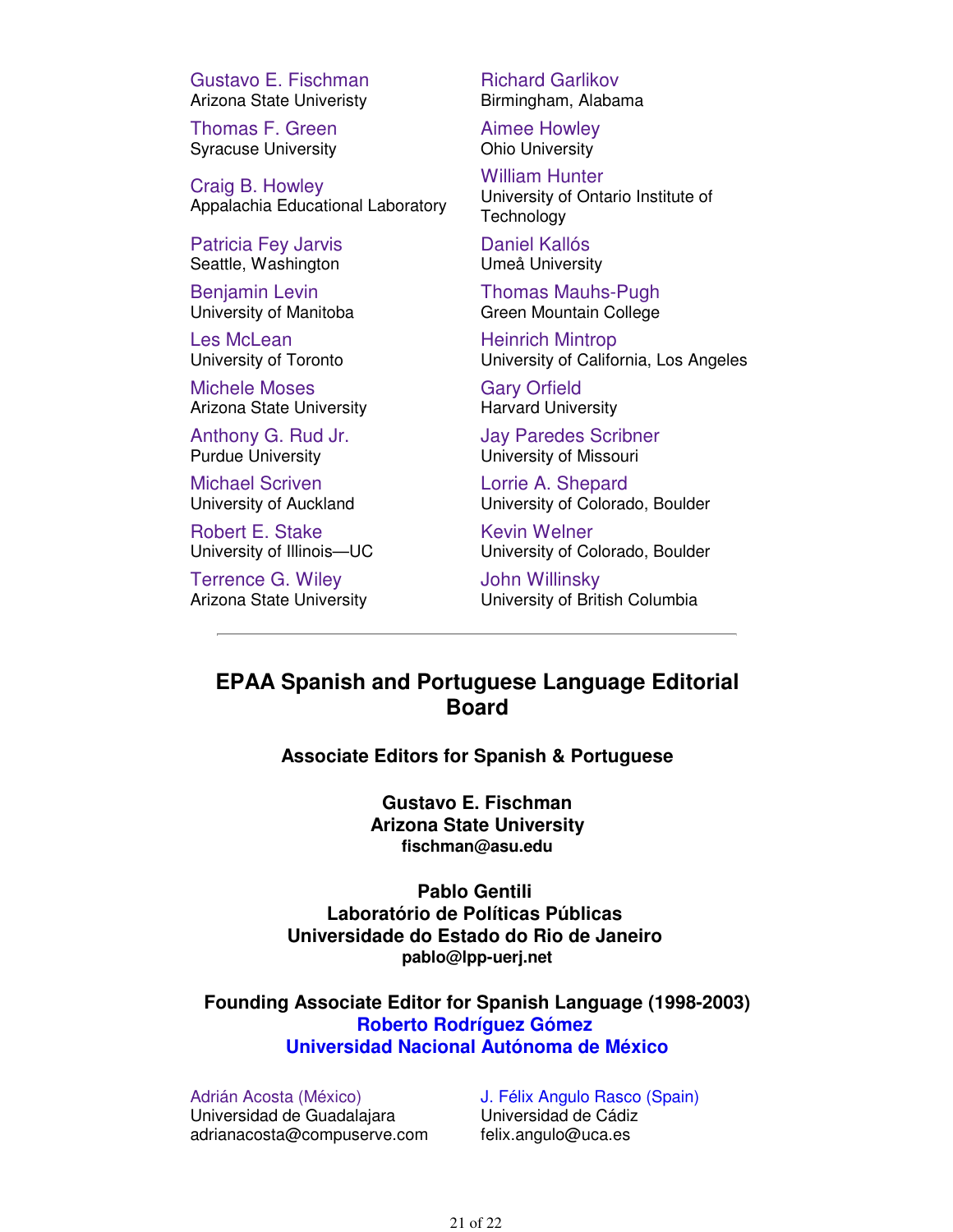Gustavo E. Fischman Arizona State Univeristy

Thomas F. Green Syracuse University

Craig B. Howley Appalachia Educational Laboratory

Patricia Fey Jarvis Seattle, Washington

Benjamin Levin University of Manitoba

Les McLean University of Toronto

Michele Moses Arizona State University

Anthony G. Rud Jr. Purdue University

Michael Scriven University of Auckland

Robert E. Stake University of Illinois—UC

Terrence G. Wiley Arizona State University Richard Garlikov Birmingham, Alabama

Aimee Howley Ohio University

William Hunter University of Ontario Institute of **Technology** 

Daniel Kallós Umeå University

Thomas Mauhs-Pugh Green Mountain College

Heinrich Mintrop University of California, Los Angeles

Gary Orfield Harvard University

Jay Paredes Scribner University of Missouri

Lorrie A. Shepard University of Colorado, Boulder

Kevin Welner University of Colorado, Boulder

John Willinsky University of British Columbia

### **EPAA Spanish and Portuguese Language Editorial Board**

**Associate Editors for Spanish & Portuguese**

**Gustavo E. Fischman Arizona State University fischman@asu.edu**

**Pablo Gentili Laboratório de Políticas Públicas Universidade do Estado do Rio de Janeiro pablo@lpp-uerj.net**

**Founding Associate Editor for Spanish Language (1998-2003) Roberto Rodríguez Gómez Universidad Nacional Autónoma de México**

Adrián Acosta (México) Universidad de Guadalajara adrianacosta@compuserve.com J. Félix Angulo Rasco (Spain) Universidad de Cádiz felix.angulo@uca.es